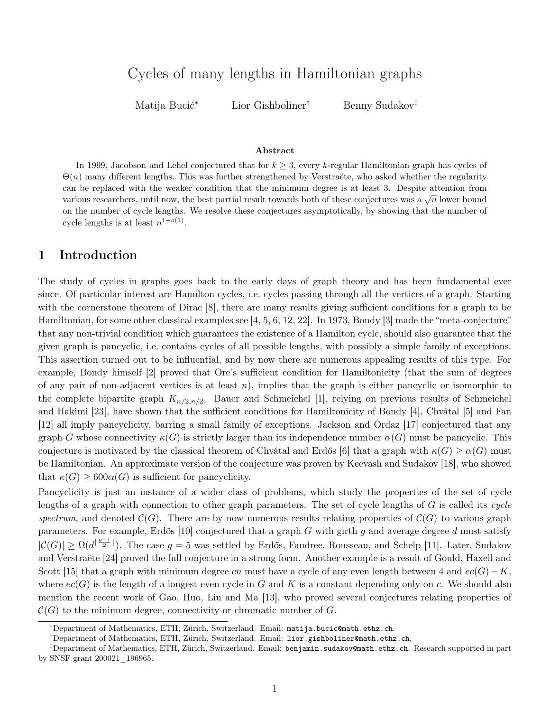# Cycles of many lengths in Hamiltonian graphs

Matija Bucić<sup>∗</sup> Lior Gishboliner† Benny Sudakov‡

#### Abstract

In 1999, Jacobson and Lehel conjectured that for  $k \geq 3$ , every k-regular Hamiltonian graph has cycles of  $\Theta(n)$  many different lengths. This was further strengthened by Verstraëte, who asked whether the regularity can be replaced with the weaker condition that the minimum degree is at least 3. Despite attention from various researchers, until now, the best partial result towards both of these conjectures was a  $\sqrt{n}$  lower bound on the number of cycle lengths. We resolve these conjectures asymptotically, by showing that the number of cycle lengths is at least  $n^{1-o(1)}$ .

# 1 Introduction

The study of cycles in graphs goes back to the early days of graph theory and has been fundamental ever since. Of particular interest are Hamilton cycles, i.e. cycles passing through all the vertices of a graph. Starting with the cornerstone theorem of Dirac [\[8\]](#page-18-0), there are many results giving sufficient conditions for a graph to be Hamiltonian, for some other classical examples see [\[4,](#page-17-0) [5,](#page-17-1) [6,](#page-17-2) [12,](#page-18-1) [22\]](#page-18-2). In 1973, Bondy [\[3\]](#page-17-3) made the "meta-conjecture" that any non-trivial condition which guarantees the existence of a Hamilton cycle, should also guarantee that the given graph is pancyclic, i.e. contains cycles of all possible lengths, with possibly a simple family of exceptions. This assertion turned out to be influential, and by now there are numerous appealing results of this type. For example, Bondy himself [\[2\]](#page-17-4) proved that Ore's sufficient condition for Hamiltonicity (that the sum of degrees of any pair of non-adjacent vertices is at least  $n$ ), implies that the graph is either pancyclic or isomorphic to the complete bipartite graph  $K_{n/2,n/2}$ . Bauer and Schmeichel [\[1\]](#page-17-5), relying on previous results of Schmeichel and Hakimi [\[23\]](#page-18-3), have shown that the sufficient conditions for Hamiltonicity of Bondy [\[4\]](#page-17-0), Chvátal [\[5\]](#page-17-1) and Fan [\[12\]](#page-18-1) all imply pancyclicity, barring a small family of exceptions. Jackson and Ordaz [\[17\]](#page-18-4) conjectured that any graph G whose connectivity  $\kappa(G)$  is strictly larger than its independence number  $\alpha(G)$  must be pancyclic. This conjecture is motivated by the classical theorem of Chvátal and Erdős [\[6\]](#page-17-2) that a graph with  $\kappa(G) \ge \alpha(G)$  must be Hamiltonian. An approximate version of the conjecture was proven by Keevash and Sudakov [\[18\]](#page-18-5), who showed that  $\kappa(G) \geq 600\alpha(G)$  is sufficient for pancyclicity.

Pancyclicity is just an instance of a wider class of problems, which study the properties of the set of cycle lengths of a graph with connection to other graph parameters. The set of cycle lengths of  $G$  is called its cycle spectrum, and denoted  $\mathcal{C}(G)$ . There are by now numerous results relating properties of  $\mathcal{C}(G)$  to various graph parameters. For example, Erdős [\[10\]](#page-18-6) conjectured that a graph  $G$  with girth  $g$  and average degree  $d$  must satisfy  $|C(G)| \geq \Omega(d^{\lfloor \frac{g-1}{2} \rfloor})$ . The case  $g=5$  was settled by Erdős, Faudree, Rousseau, and Schelp [\[11\]](#page-18-7). Later, Sudakov and Verstraëte [\[24\]](#page-18-8) proved the full conjecture in a strong form. Another example is a result of Gould, Haxell and Scott [\[15\]](#page-18-9) that a graph with minimum degree cn must have a cycle of any even length between 4 and  $ec(G) - K$ , where  $ec(G)$  is the length of a longest even cycle in G and K is a constant depending only on c. We should also mention the recent work of Gao, Huo, Liu and Ma [\[13\]](#page-18-10), who proved several conjectures relating properties of  $C(G)$  to the minimum degree, connectivity or chromatic number of G.

<sup>∗</sup>Department of Mathematics, ETH, Zürich, Switzerland. Email: [matija.bucic@math.ethz.ch](mailto:matija.bucic@math.ethz.ch).

<sup>†</sup>Department of Mathematics, ETH, Zürich, Switzerland. Email: [lior.gishboliner@math.ethz.ch](mailto:lior.gishboliner@math.ethz.ch).

<sup>‡</sup>Department of Mathematics, ETH, Zürich, Switzerland. Email: [benjamin.sudakov@math.ethz.ch](mailto:benjamin.sudakov@math.ethz.ch). Research supported in part by SNSF grant 200021\_196965.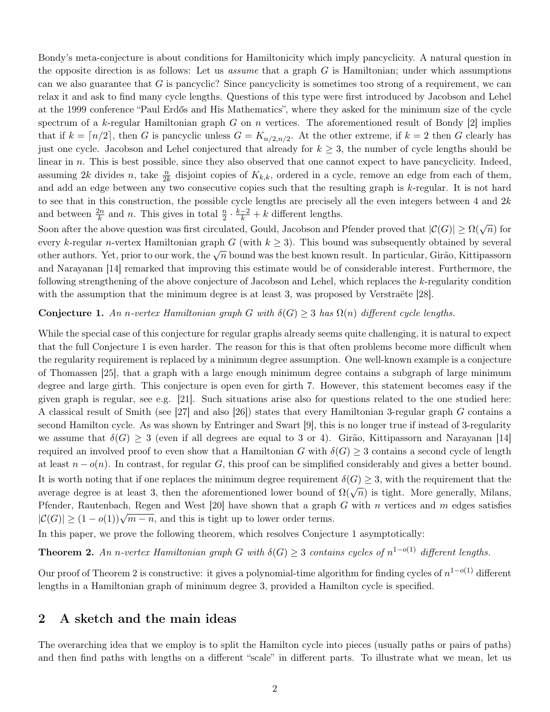Bondy's meta-conjecture is about conditions for Hamiltonicity which imply pancyclicity. A natural question in the opposite direction is as follows: Let us *assume* that a graph  $G$  is Hamiltonian; under which assumptions can we also guarantee that  $G$  is pancyclic? Since pancyclicity is sometimes too strong of a requirement, we can relax it and ask to find many cycle lengths. Questions of this type were first introduced by Jacobson and Lehel at the 1999 conference "Paul Erdős and His Mathematics", where they asked for the minimum size of the cycle spectrum of a k-regular Hamiltonian graph  $G$  on  $n$  vertices. The aforementioned result of Bondy  $[2]$  implies that if  $k = \lfloor n/2 \rfloor$ , then G is pancyclic unless  $G = K_{n/2,n/2}$ . At the other extreme, if  $k = 2$  then G clearly has just one cycle. Jacobson and Lehel conjectured that already for  $k \geq 3$ , the number of cycle lengths should be linear in  $n$ . This is best possible, since they also observed that one cannot expect to have pancyclicity. Indeed, assuming 2k divides n, take  $\frac{n}{2k}$  disjoint copies of  $K_{k,k}$ , ordered in a cycle, remove an edge from each of them, and add an edge between any two consecutive copies such that the resulting graph is k-regular. It is not hard to see that in this construction, the possible cycle lengths are precisely all the even integers between 4 and  $2k$ and between  $\frac{2n}{k}$  and *n*. This gives in total  $\frac{n}{2} \cdot \frac{k-2}{k} + k$  different lengths.

Soon after the above question was first circulated, Gould, Jacobson and Pfender proved that  $|\mathcal{C}(G)| \ge \Omega(\sqrt{n})$  for every k-regular n-vertex Hamiltonian graph G (with  $k \geq 3$ ). This bound was subsequently obtained by several other authors. Yet, prior to our work, the  $\sqrt{n}$  bound was the best known result. In particular, Girão, Kittipassorn and Narayanan [\[14\]](#page-18-11) remarked that improving this estimate would be of considerable interest. Furthermore, the following strengthening of the above conjecture of Jacobson and Lehel, which replaces the k-regularity condition with the assumption that the minimum degree is at least 3, was proposed by Verstraëte [\[28\]](#page-18-12).

#### <span id="page-1-0"></span>**Conjecture 1.** An n-vertex Hamiltonian graph G with  $\delta(G) \geq 3$  has  $\Omega(n)$  different cycle lengths.

While the special case of this conjecture for regular graphs already seems quite challenging, it is natural to expect that the full Conjecture [1](#page-1-0) is even harder. The reason for this is that often problems become more difficult when the regularity requirement is replaced by a minimum degree assumption. One well-known example is a conjecture of Thomassen [\[25\]](#page-18-13), that a graph with a large enough minimum degree contains a subgraph of large minimum degree and large girth. This conjecture is open even for girth 7. However, this statement becomes easy if the given graph is regular, see e.g. [\[21\]](#page-18-14). Such situations arise also for questions related to the one studied here: A classical result of Smith (see [\[27\]](#page-18-15) and also [\[26\]](#page-18-16)) states that every Hamiltonian 3-regular graph G contains a second Hamilton cycle. As was shown by Entringer and Swart [\[9\]](#page-18-17), this is no longer true if instead of 3-regularity we assume that  $\delta(G) \geq 3$  (even if all degrees are equal to 3 or 4). Girão, Kittipassorn and Narayanan [\[14\]](#page-18-11) required an involved proof to even show that a Hamiltonian G with  $\delta(G) \geq 3$  contains a second cycle of length at least  $n - o(n)$ . In contrast, for regular G, this proof can be simplified considerably and gives a better bound. It is worth noting that if one replaces the minimum degree requirement  $\delta(G) \geq 3$ , with the requirement that the average degree is at least 3, then the aforementioned lower bound of  $\Omega(\sqrt{n})$  is tight. More generally, Milans, Pfender, Rautenbach, Regen and West [\[20\]](#page-18-18) have shown that a graph G with n vertices and m edges satisfies Figure shown that a graph  $|C(G)| \geq (1 - o(1))\sqrt{m - n}$ , and this is tight up to lower order terms.

In this paper, we prove the following theorem, which resolves Conjecture [1](#page-1-0) asymptotically:

<span id="page-1-1"></span>**Theorem 2.** An n-vertex Hamiltonian graph G with  $\delta(G) \geq 3$  contains cycles of  $n^{1-o(1)}$  different lengths.

Our proof of Theorem [2](#page-1-1) is constructive: it gives a polynomial-time algorithm for finding cycles of  $n^{1-o(1)}$  different lengths in a Hamiltonian graph of minimum degree 3, provided a Hamilton cycle is specified.

# <span id="page-1-2"></span>2 A sketch and the main ideas

The overarching idea that we employ is to split the Hamilton cycle into pieces (usually paths or pairs of paths) and then find paths with lengths on a different "scale" in different parts. To illustrate what we mean, let us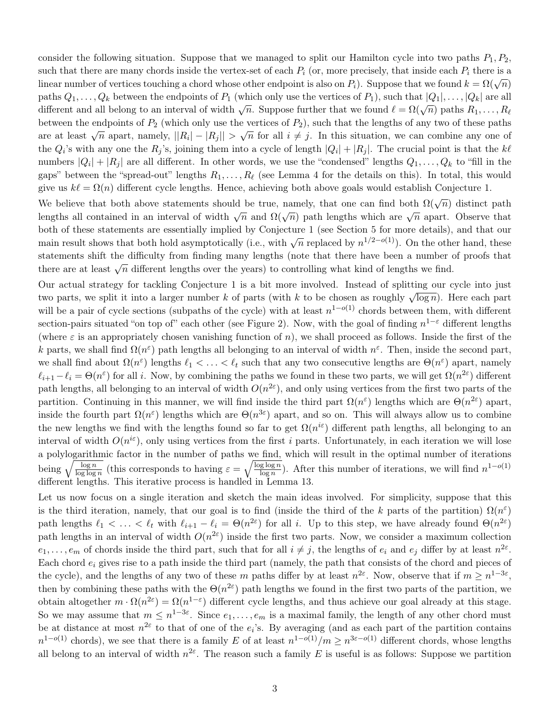consider the following situation. Suppose that we managed to split our Hamilton cycle into two paths  $P_1, P_2$ , such that there are many chords inside the vertex-set of each  $P_i$  (or, more precisely, that inside each  $P_i$  there is a linear number of vertices touching a chord whose other endpoint is also on  $P_i$ ). Suppose that we found  $k = \Omega(\sqrt{n})$ paths  $Q_1, \ldots, Q_k$  between the endpoints of  $P_1$  (which only use the vertices of  $P_1$ ), such that  $|Q_1|, \ldots, |Q_k|$  are all paths  $\mathcal{Q}_1, \ldots, \mathcal{Q}_k$  between the endpoints of  $T_1$  (which only use the vertices of  $T_1$ ), such that  $|\mathcal{Q}_1|, \ldots, |\mathcal{Q}_k|$  are and different and all belong to an interval of width  $\sqrt{n}$ . Suppose further that we between the endpoints of  $P_2$  (which only use the vertices of  $P_2$ ), such that the lengths of any two of these paths are at least  $\sqrt{n}$  apart, namely,  $||R_i| - |R_j|| > \sqrt{n}$  for all  $i \neq j$ . In this situation, we can combine any one of the  $Q_i$ 's with any one the  $R_j$ 's, joining them into a cycle of length  $|Q_i| + |R_j|$ . The crucial point is that the  $k\ell$ numbers  $|Q_i| + |R_j|$  are all different. In other words, we use the "condensed" lengths  $Q_1, \ldots, Q_k$  to "fill in the gaps" between the "spread-out" lengths  $R_1, \ldots, R_\ell$  (see Lemma [4](#page-4-0) for the details on this). In total, this would give us  $k\ell = \Omega(n)$  different cycle lengths. Hence, achieving both above goals would establish Conjecture [1.](#page-1-0)

We believe that both above statements should be true, namely, that one can find both  $\Omega(\sqrt{n})$  distinct path lengths all contained in an interval of width  $\sqrt{n}$  and  $\Omega(\sqrt{n})$  path lengths which are  $\sqrt{n}$  apart. Observe that both of these statements are essentially implied by Conjecture [1](#page-1-0) (see Section [5](#page-16-0) for more details), and that our main result shows that both hold asymptotically (i.e., with  $\sqrt{n}$  replaced by  $n^{1/2-o(1)}$ ). On the other hand, these statements shift the difficulty from finding many lengths (note that there have been a number of proofs that there are at least  $\sqrt{n}$  different lengths over the years) to controlling what kind of lengths we find.

Our actual strategy for tackling Conjecture [1](#page-1-0) is a bit more involved. Instead of splitting our cycle into just two parts, we split it into a larger number k of parts (with k to be chosen as roughly  $\sqrt{\log n}$ ). Here each part will be a pair of cycle sections (subpaths of the cycle) with at least  $n^{1-o(1)}$  chords between them, with different section-pairs situated "on top of" each other (see Figure [2\)](#page-4-1). Now, with the goal of finding  $n^{1-\varepsilon}$  different lengths (where  $\varepsilon$  is an appropriately chosen vanishing function of n), we shall proceed as follows. Inside the first of the k parts, we shall find  $\Omega(n^{\varepsilon})$  path lengths all belonging to an interval of width  $n^{\varepsilon}$ . Then, inside the second part, we shall find about  $\Omega(n^{\varepsilon})$  lengths  $\ell_1 < \ldots < \ell_t$  such that any two consecutive lengths are  $\Theta(n^{\varepsilon})$  apart, namely  $\ell_{i+1} - \ell_i = \Theta(n^{\varepsilon})$  for all i. Now, by combining the paths we found in these two parts, we will get  $\Omega(n^{2\varepsilon})$  different path lengths, all belonging to an interval of width  $O(n^{2\varepsilon})$ , and only using vertices from the first two parts of the partition. Continuing in this manner, we will find inside the third part  $\Omega(n^{\varepsilon})$  lengths which are  $\Theta(n^{2\varepsilon})$  apart, inside the fourth part  $\Omega(n^{\varepsilon})$  lengths which are  $\Theta(n^{3\varepsilon})$  apart, and so on. This will always allow us to combine the new lengths we find with the lengths found so far to get  $\Omega(n^{i\varepsilon})$  different path lengths, all belonging to an interval of width  $O(n^{i\epsilon})$ , only using vertices from the first i parts. Unfortunately, in each iteration we will lose a polylogarithmic factor in the number of paths we find, which will result in the optimal number of iterations being  $\sqrt{\frac{\log n}{\log \log n}}$  (this corresponds to having  $\varepsilon = \sqrt{\frac{\log \log n}{\log n}}$ ). After this number of iterations, we will find  $n^{1-o(1)}$ different lengths. This iterative process is handled in Lemma [13.](#page-11-0)

Let us now focus on a single iteration and sketch the main ideas involved. For simplicity, suppose that this is the third iteration, namely, that our goal is to find (inside the third of the k parts of the partition)  $\Omega(n^{\epsilon})$ path lengths  $\ell_1 < \ldots < \ell_t$  with  $\ell_{i+1} - \ell_i = \Theta(n^{2\varepsilon})$  for all i. Up to this step, we have already found  $\Theta(n^{2\varepsilon})$ path lengths in an interval of width  $O(n^{2\varepsilon})$  inside the first two parts. Now, we consider a maximum collection  $e_1,\ldots,e_m$  of chords inside the third part, such that for all  $i \neq j$ , the lengths of  $e_i$  and  $e_j$  differ by at least  $n^{2\varepsilon}$ . Each chord  $e_i$  gives rise to a path inside the third part (namely, the path that consists of the chord and pieces of the cycle), and the lengths of any two of these m paths differ by at least  $n^{2\varepsilon}$ . Now, observe that if  $m \geq n^{1-3\varepsilon}$ , then by combining these paths with the  $\Theta(n^{2\varepsilon})$  path lengths we found in the first two parts of the partition, we obtain altogether  $m \cdot \Omega(n^{2\varepsilon}) = \Omega(n^{1-\varepsilon})$  different cycle lengths, and thus achieve our goal already at this stage. So we may assume that  $m \leq n^{1-3\varepsilon}$ . Since  $e_1, \ldots, e_m$  is a maximal family, the length of any other chord must be at distance at most  $n^{2\varepsilon}$  to that of one of the  $e_i$ 's. By averaging (and as each part of the partition contains  $n^{1-o(1)}$  chords), we see that there is a family E of at least  $n^{1-o(1)}/m \geq n^{3\varepsilon-o(1)}$  different chords, whose lengths all belong to an interval of width  $n^{2\varepsilon}$ . The reason such a family E is useful is as follows: Suppose we partition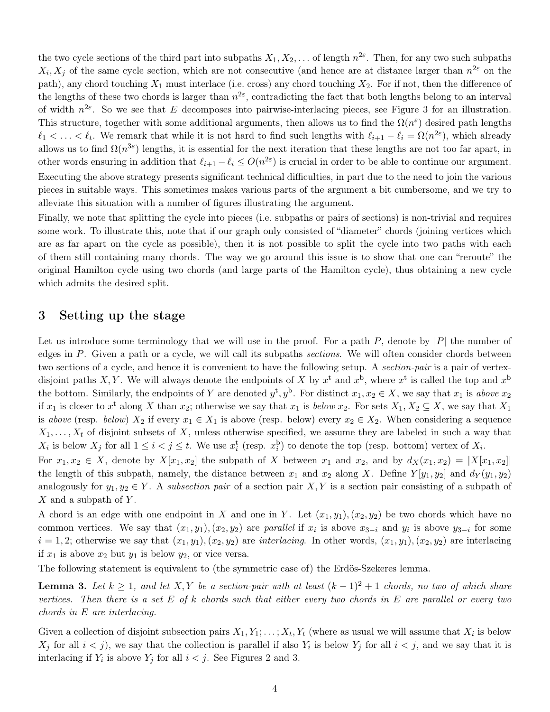the two cycle sections of the third part into subpaths  $X_1, X_2, \ldots$  of length  $n^{2\varepsilon}$ . Then, for any two such subpaths  $X_i, X_j$  of the same cycle section, which are not consecutive (and hence are at distance larger than  $n^{2\varepsilon}$  on the path), any chord touching  $X_1$  must interlace (i.e. cross) any chord touching  $X_2$ . For if not, then the difference of the lengths of these two chords is larger than  $n^{2\varepsilon}$ , contradicting the fact that both lengths belong to an interval of width  $n^{2\varepsilon}$ . So we see that E decomposes into pairwise-interlacing pieces, see Figure [3](#page-4-1) for an illustration. This structure, together with some additional arguments, then allows us to find the  $\Omega(n^{\epsilon})$  desired path lengths  $\ell_1 < \ldots < \ell_t$ . We remark that while it is not hard to find such lengths with  $\ell_{i+1} - \ell_i = \Omega(n^{2\varepsilon})$ , which already allows us to find  $\Omega(n^{3\varepsilon})$  lengths, it is essential for the next iteration that these lengths are not too far apart, in other words ensuring in addition that  $\ell_{i+1} - \ell_i \leq O(n^{2\varepsilon})$  is crucial in order to be able to continue our argument. Executing the above strategy presents significant technical difficulties, in part due to the need to join the various pieces in suitable ways. This sometimes makes various parts of the argument a bit cumbersome, and we try to alleviate this situation with a number of figures illustrating the argument.

Finally, we note that splitting the cycle into pieces (i.e. subpaths or pairs of sections) is non-trivial and requires some work. To illustrate this, note that if our graph only consisted of "diameter" chords (joining vertices which are as far apart on the cycle as possible), then it is not possible to split the cycle into two paths with each of them still containing many chords. The way we go around this issue is to show that one can "reroute" the original Hamilton cycle using two chords (and large parts of the Hamilton cycle), thus obtaining a new cycle which admits the desired split.

#### 3 Setting up the stage

Let us introduce some terminology that we will use in the proof. For a path  $P$ , denote by  $|P|$  the number of edges in P. Given a path or a cycle, we will call its subpaths *sections*. We will often consider chords between two sections of a cycle, and hence it is convenient to have the following setup. A *section-pair* is a pair of vertexdisjoint paths X, Y. We will always denote the endpoints of X by  $x^t$  and  $x^b$ , where  $x^t$  is called the top and  $x^b$ the bottom. Similarly, the endpoints of Y are denoted  $y^t, y^b$ . For distinct  $x_1, x_2 \in X$ , we say that  $x_1$  is above  $x_2$ if  $x_1$  is closer to  $x^t$  along X than  $x_2$ ; otherwise we say that  $x_1$  is below  $x_2$ . For sets  $X_1, X_2 \subseteq X$ , we say that  $X_1$ is above (resp. below)  $X_2$  if every  $x_1 \in X_1$  is above (resp. below) every  $x_2 \in X_2$ . When considering a sequence  $X_1, \ldots, X_t$  of disjoint subsets of X, unless otherwise specified, we assume they are labeled in such a way that  $X_i$  is below  $X_j$  for all  $1 \leq i < j \leq t$ . We use  $x_i^{\text{t}}$  (resp.  $x_i^{\text{b}}$ ) to denote the top (resp. bottom) vertex of  $X_i$ .

For  $x_1, x_2 \in X$ , denote by  $X[x_1, x_2]$  the subpath of X between  $x_1$  and  $x_2$ , and by  $d_X(x_1, x_2) = |X[x_1, x_2]|$ the length of this subpath, namely, the distance between  $x_1$  and  $x_2$  along X. Define  $Y[y_1, y_2]$  and  $d_Y(y_1, y_2)$ analogously for  $y_1, y_2 \in Y$ . A subsection pair of a section pair X, Y is a section pair consisting of a subpath of  $X$  and a subpath of  $Y$ .

A chord is an edge with one endpoint in X and one in Y. Let  $(x_1, y_1), (x_2, y_2)$  be two chords which have no common vertices. We say that  $(x_1, y_1), (x_2, y_2)$  are parallel if  $x_i$  is above  $x_{3-i}$  and  $y_i$  is above  $y_{3-i}$  for some  $i = 1, 2$ ; otherwise we say that  $(x_1, y_1), (x_2, y_2)$  are *interlacing*. In other words,  $(x_1, y_1), (x_2, y_2)$  are interlacing if  $x_1$  is above  $x_2$  but  $y_1$  is below  $y_2$ , or vice versa.

The following statement is equivalent to (the symmetric case of) the Erdös-Szekeres lemma.

<span id="page-3-0"></span>**Lemma 3.** Let  $k \geq 1$ , and let  $X, Y$  be a section-pair with at least  $(k-1)^2 + 1$  chords, no two of which share vertices. Then there is a set  $E$  of k chords such that either every two chords in  $E$  are parallel or every two chords in E are interlacing.

Given a collection of disjoint subsection pairs  $X_1, Y_1; \ldots; X_t, Y_t$  (where as usual we will assume that  $X_i$  is below  $X_j$  for all  $i < j$ ), we say that the collection is parallel if also  $Y_i$  is below  $Y_j$  for all  $i < j$ , and we say that it is interlacing if  $Y_i$  is above  $Y_j$  for all  $i < j$ . See Figures 2 and 3.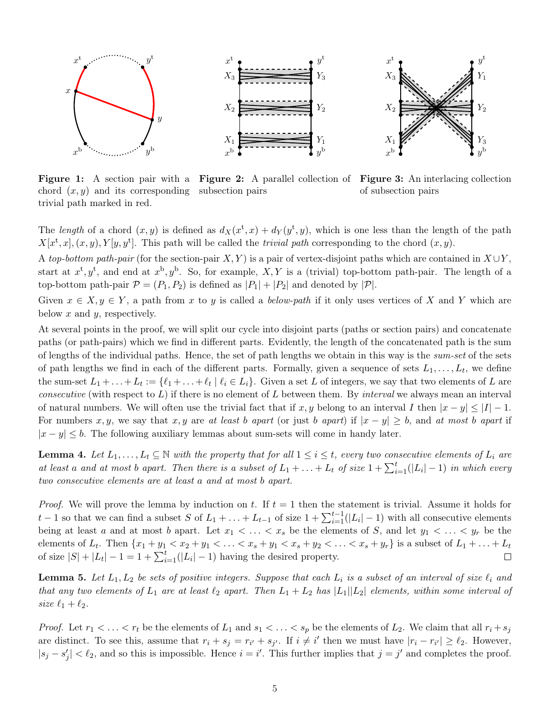<span id="page-4-1"></span>

chord  $(x, y)$  and its corresponding subsection pairs trivial path marked in red.

Figure 1: A section pair with a Figure 2: A parallel collection of Figure 3: An interlacing collection

of subsection pairs

The length of a chord  $(x, y)$  is defined as  $d_X(x^t, x) + d_Y(y^t, y)$ , which is one less than the length of the path  $X[x^t, x], (x, y), Y[y, y^t]$ . This path will be called the *trivial path* corresponding to the chord  $(x, y)$ .

A top-bottom path-pair (for the section-pair X, Y) is a pair of vertex-disjoint paths which are contained in  $X \cup Y$ , start at  $x^t, y^t$ , and end at  $x^b, y^b$ . So, for example, X, Y is a (trivial) top-bottom path-pair. The length of a top-bottom path-pair  $\mathcal{P} = (P_1, P_2)$  is defined as  $|P_1| + |P_2|$  and denoted by  $|\mathcal{P}|$ .

Given  $x \in X, y \in Y$ , a path from x to y is called a below-path if it only uses vertices of X and Y which are below  $x$  and  $y$ , respectively.

At several points in the proof, we will split our cycle into disjoint parts (paths or section pairs) and concatenate paths (or path-pairs) which we find in different parts. Evidently, the length of the concatenated path is the sum of lengths of the individual paths. Hence, the set of path lengths we obtain in this way is the *sum-set* of the sets of path lengths we find in each of the different parts. Formally, given a sequence of sets  $L_1, \ldots, L_t$ , we define the sum-set  $L_1 + \ldots + L_t := \{ \ell_1 + \ldots + \ell_t \mid \ell_i \in L_i \}.$  Given a set L of integers, we say that two elements of L are *consecutive* (with respect to  $L$ ) if there is no element of  $L$  between them. By interval we always mean an interval of natural numbers. We will often use the trivial fact that if x, y belong to an interval I then  $|x - y| \leq |I| - 1$ . For numbers x, y, we say that x, y are at least b apart (or just b apart) if  $|x - y| \geq b$ , and at most b apart if  $|x - y| \leq b$ . The following auxiliary lemmas about sum-sets will come in handy later.

<span id="page-4-0"></span>**Lemma 4.** Let  $L_1, \ldots, L_t \subseteq \mathbb{N}$  with the property that for all  $1 \leq i \leq t$ , every two consecutive elements of  $L_i$  are at least a and at most b apart. Then there is a subset of  $L_1 + ... + L_t$  of size  $1 + \sum_{i=1}^t (|L_i| - 1)$  in which every two consecutive elements are at least a and at most b apart.

*Proof.* We will prove the lemma by induction on t. If  $t = 1$  then the statement is trivial. Assume it holds for t − 1 so that we can find a subset S of  $L_1 + ... + L_{t-1}$  of size  $1 + \sum_{i=1}^{t-1} (|L_i| - 1)$  with all consecutive elements being at least a and at most b apart. Let  $x_1 < \ldots < x_s$  be the elements of S, and let  $y_1 < \ldots < y_r$  be the elements of  $L_t$ . Then  $\{x_1+y_1 < x_2+y_1 < \ldots < x_s+y_1 < x_s+y_2 < \ldots < x_s+y_r\}$  is a subset of  $L_1 + \ldots + L_t$ of size  $|S| + |L_t| - 1 = 1 + \sum_{i=1}^t (|L_i| - 1)$  having the desired property.  $\Box$ 

<span id="page-4-2"></span>**Lemma 5.** Let  $L_1, L_2$  be sets of positive integers. Suppose that each  $L_i$  is a subset of an interval of size  $\ell_i$  and that any two elements of  $L_1$  are at least  $\ell_2$  apart. Then  $L_1 + L_2$  has  $|L_1||L_2|$  elements, within some interval of size  $\ell_1 + \ell_2$ .

*Proof.* Let  $r_1 < \ldots < r_t$  be the elements of  $L_1$  and  $s_1 < \ldots < s_p$  be the elements of  $L_2$ . We claim that all  $r_i + s_j$ are distinct. To see this, assume that  $r_i + s_j = r_{i'} + s_{j'}$ . If  $i \neq i'$  then we must have  $|r_i - r_{i'}| \geq \ell_2$ . However,  $|s_j - s'_j| < \ell_2$ , and so this is impossible. Hence  $i = i'$ . This further implies that  $j = j'$  and completes the proof.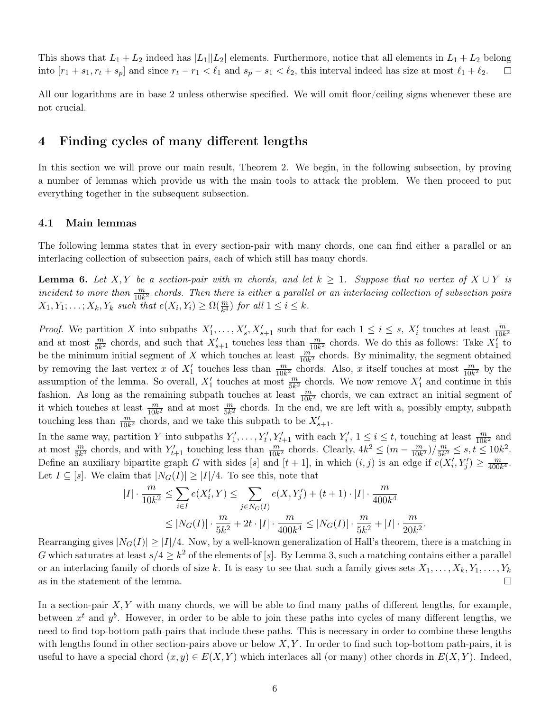This shows that  $L_1 + L_2$  indeed has  $|L_1||L_2|$  elements. Furthermore, notice that all elements in  $L_1 + L_2$  belong into  $[r_1 + s_1, r_t + s_p]$  and since  $r_t - r_1 < \ell_1$  and  $s_p - s_1 < \ell_2$ , this interval indeed has size at most  $\ell_1 + \ell_2$ .  $\Box$ 

All our logarithms are in base 2 unless otherwise specified. We will omit floor/ceiling signs whenever these are not crucial.

### 4 Finding cycles of many different lengths

In this section we will prove our main result, Theorem [2.](#page-1-1) We begin, in the following subsection, by proving a number of lemmas which provide us with the main tools to attack the problem. We then proceed to put everything together in the subsequent subsection.

#### 4.1 Main lemmas

The following lemma states that in every section-pair with many chords, one can find either a parallel or an interlacing collection of subsection pairs, each of which still has many chords.

<span id="page-5-0"></span>**Lemma 6.** Let X, Y be a section-pair with m chords, and let  $k \geq 1$ . Suppose that no vertex of  $X \cup Y$  is incident to more than  $\frac{m}{10k^2}$  chords. Then there is either a parallel or an interlacing collection of subsection pairs  $X_1, Y_1; \ldots; X_k, Y_k$  such that  $e(X_i, Y_i) \ge \Omega(\frac{m}{k^4})$  for all  $1 \le i \le k$ .

*Proof.* We partition X into subpaths  $X'_1, \ldots, X'_s, X'_{s+1}$  such that for each  $1 \leq i \leq s$ ,  $X'_i$  touches at least  $\frac{m}{10k^2}$ and at most  $\frac{m}{5k^2}$  chords, and such that  $X'_{s+1}$  touches less than  $\frac{m}{10k^2}$  chords. We do this as follows: Take  $X'_1$  to be the minimum initial segment of X which touches at least  $\frac{m}{10k^2}$  chords. By minimality, the segment obtained by removing the last vertex x of  $X'_1$  touches less than  $\frac{m}{10k^2}$  chords. Also, x itself touches at most  $\frac{m}{10k^2}$  by the assumption of the lemma. So overall,  $X'_1$  touches at most  $\frac{m}{5k^2}$  chords. We now remove  $X'_1$  and continue in this fashion. As long as the remaining subpath touches at least  $\frac{m}{10k^2}$  chords, we can extract an initial segment of it which touches at least  $\frac{m}{10k^2}$  and at most  $\frac{m}{5k^2}$  chords. In the end, we are left with a, possibly empty, subpath touching less than  $\frac{m}{10k^2}$  chords, and we take this subpath to be  $X'_{s+1}$ .

In the same way, partition Y into subpaths  $Y'_1, \ldots, Y'_t, Y'_{t+1}$  with each  $Y'_i, 1 \le i \le t$ , touching at least  $\frac{m}{10k^2}$  and at most  $\frac{m}{5k^2}$  chords, and with  $Y'_{t+1}$  touching less than  $\frac{m}{10k^2}$  chords. Clearly,  $4k^2 \leq (m - \frac{m}{10k})$  $\frac{m}{10k^2}$ )/ $\frac{m}{5k^2}$  $\frac{m}{5k^2} \le s, t \le 10k^2.$ Define an auxiliary bipartite graph G with sides [s] and  $[t + 1]$ , in which  $(i, j)$  is an edge if  $e(X'_i, Y'_j) \geq \frac{m}{400i}$  $\frac{m}{400k^4}$ . Let  $I \subseteq [s]$ . We claim that  $|N_G(I)| \geq |I|/4$ . To see this, note that

$$
\begin{aligned}|I|\cdot\frac{m}{10k^2}&\leq \sum_{i\in I}e(X_i',Y)\leq \sum_{j\in N_G(I)}e(X,Y_j')+(t+1)\cdot|I|\cdot\frac{m}{400k^4}\\ &\leq |N_G(I)|\cdot\frac{m}{5k^2}+2t\cdot|I|\cdot\frac{m}{400k^4}\leq |N_G(I)|\cdot\frac{m}{5k^2}+|I|\cdot\frac{m}{20k^2}.\end{aligned}
$$

Rearranging gives  $|N_G(I)| \geq |I|/4$ . Now, by a well-known generalization of Hall's theorem, there is a matching in G which saturates at least  $s/4 \geq k^2$  of the elements of [s]. By Lemma [3,](#page-3-0) such a matching contains either a parallel or an interlacing family of chords of size k. It is easy to see that such a family gives sets  $X_1, \ldots, X_k, Y_1, \ldots, Y_k$ as in the statement of the lemma.  $\Box$ 

In a section-pair  $X, Y$  with many chords, we will be able to find many paths of different lengths, for example, between  $x^t$  and  $y^b$ . However, in order to be able to join these paths into cycles of many different lengths, we need to find top-bottom path-pairs that include these paths. This is necessary in order to combine these lengths with lengths found in other section-pairs above or below  $X, Y$ . In order to find such top-bottom path-pairs, it is useful to have a special chord  $(x, y) \in E(X, Y)$  which interlaces all (or many) other chords in  $E(X, Y)$ . Indeed,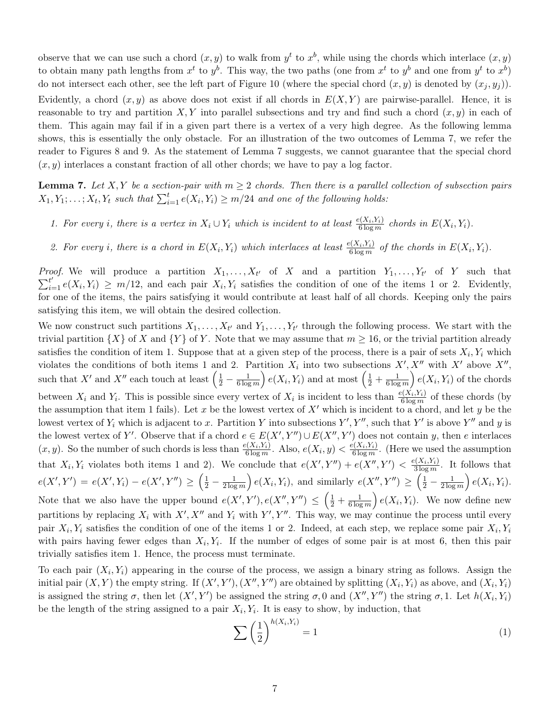observe that we can use such a chord  $(x, y)$  to walk from  $y<sup>t</sup>$  to  $x<sup>b</sup>$ , while using the chords which interlace  $(x, y)$ to obtain many path lengths from  $x^t$  to  $y^b$ . This way, the two paths (one from  $x^t$  to  $y^b$  and one from  $y^t$  to  $x^b$ ) do not intersect each other, see the left part of Figure 10 (where the special chord  $(x, y)$  is denoted by  $(x_j, y_j)$ ). Evidently, a chord  $(x, y)$  as above does not exist if all chords in  $E(X, Y)$  are pairwise-parallel. Hence, it is reasonable to try and partition X, Y into parallel subsections and try and find such a chord  $(x, y)$  in each of them. This again may fail if in a given part there is a vertex of a very high degree. As the following lemma shows, this is essentially the only obstacle. For an illustration of the two outcomes of Lemma [7,](#page-6-0) we refer the reader to Figures [8](#page-12-0) and [9.](#page-12-0) As the statement of Lemma [7](#page-6-0) suggests, we cannot guarantee that the special chord  $(x, y)$  interlaces a constant fraction of all other chords; we have to pay a log factor.

<span id="page-6-0"></span>**Lemma 7.** Let X, Y be a section-pair with  $m \geq 2$  chords. Then there is a parallel collection of subsection pairs  $X_1, Y_1; \ldots; X_t, Y_t$  such that  $\sum_{i=1}^t e(X_i, Y_i) \geq m/24$  and one of the following holds:

1. For every i, there is a vertex in  $X_i \cup Y_i$  which is incident to at least  $\frac{e(X_i,Y_i)}{6 \log m}$  chords in  $E(X_i,Y_i)$ .

2. For every i, there is a chord in  $E(X_i, Y_i)$  which interlaces at least  $\frac{e(X_i, Y_i)}{6 \log m}$  of the chords in  $E(X_i, Y_i)$ .

*Proof.* We will produce a partition  $X_1, \ldots, X_{t'}$  of X and a partition  $Y_1, \ldots, Y_{t'}$  of Y such that  $\sum_{i=1}^{t'} e(X_i, Y_i) \geq m/12$ , and each pair  $X_i, Y_i$  satisfies the condition of one of the items 1 or 2. Evidently, for one of the items, the pairs satisfying it would contribute at least half of all chords. Keeping only the pairs satisfying this item, we will obtain the desired collection.

We now construct such partitions  $X_1, \ldots, X_{t'}$  and  $Y_1, \ldots, Y_{t'}$  through the following process. We start with the trivial partition  $\{X\}$  of X and  $\{Y\}$  of Y. Note that we may assume that  $m \geq 16$ , or the trivial partition already satisfies the condition of item 1. Suppose that at a given step of the process, there is a pair of sets  $X_i, Y_i$  which violates the conditions of both items 1 and 2. Partition  $X_i$  into two subsections  $X', X''$  with  $X'$  above  $X'',$ such that X' and X'' each touch at least  $\left(\frac{1}{2} - \frac{1}{6 \log n}\right)$  $\frac{1}{6 \log m}$   $e(X_i, Y_i)$  and at most  $\left(\frac{1}{2} + \frac{1}{6 \log n}\right)$  $\frac{1}{6 \log m}$   $e(X_i, Y_i)$  of the chords between  $X_i$  and  $Y_i$ . This is possible since every vertex of  $X_i$  is incident to less than  $\frac{e(X_i,Y_i)}{6 \log m}$  of these chords (by the assumption that item 1 fails). Let x be the lowest vertex of  $X'$  which is incident to a chord, and let y be the lowest vertex of  $Y_i$  which is adjacent to x. Partition Y into subsections  $Y', Y'',$  such that  $Y'$  is above  $Y''$  and y is the lowest vertex of Y'. Observe that if a chord  $e \in E(X', Y'') \cup E(X'', Y')$  does not contain y, then e interlaces  $(x, y)$ . So the number of such chords is less than  $\frac{e(X_i, Y_i)}{6 \log m}$ . Also,  $e(X_i, y) < \frac{e(X_i, Y_i)}{6 \log m}$  $\frac{\partial (A_i, Y_i)}{\partial \log m}$ . (Here we used the assumption that  $X_i, Y_i$  violates both items 1 and 2). We conclude that  $e(X', Y'') + e(X'', Y') < \frac{e(X_i, Y_i)}{3 \log m}$  $\frac{\partial (\Delta_i, I_i)}{\partial \log m}$ . It follows that  $e(X', Y') = e(X', Y_i) - e(X', Y'') \geq \left(\frac{1}{2} - \frac{1}{2\log n}\right)$  $\frac{1}{2\log m}$   $e(X_i, Y_i)$ , and similarly  $e(X'', Y'') \geq \left(\frac{1}{2} - \frac{1}{2\log m}\right)$  $\frac{1}{2 \log m}$   $e(X_i, Y_i)$ . Note that we also have the upper bound  $e(X', Y'), e(X'', Y'') \leq \left(\frac{1}{2} + \frac{1}{6 \log n}\right)$  $\frac{1}{6 \log m}$   $e(X_i, Y_i)$ . We now define new partitions by replacing  $X_i$  with  $X', X''$  and  $Y_i$  with  $Y', Y''$ . This way, we may continue the process until every pair  $X_i, Y_i$  satisfies the condition of one of the items 1 or 2. Indeed, at each step, we replace some pair  $X_i, Y_i$ with pairs having fewer edges than  $X_i, Y_i$ . If the number of edges of some pair is at most 6, then this pair trivially satisfies item 1. Hence, the process must terminate.

To each pair  $(X_i, Y_i)$  appearing in the course of the process, we assign a binary string as follows. Assign the initial pair  $(X, Y)$  the empty string. If  $(X', Y'), (X'', Y'')$  are obtained by splitting  $(X_i, Y_i)$  as above, and  $(X_i, Y_i)$ is assigned the string  $\sigma$ , then let  $(X', Y')$  be assigned the string  $\sigma$ , 0 and  $(X'', Y'')$  the string  $\sigma$ , 1. Let  $h(X_i, Y_i)$ be the length of the string assigned to a pair  $X_i, Y_i$ . It is easy to show, by induction, that

<span id="page-6-1"></span>
$$
\sum \left(\frac{1}{2}\right)^{h(X_i, Y_i)} = 1\tag{1}
$$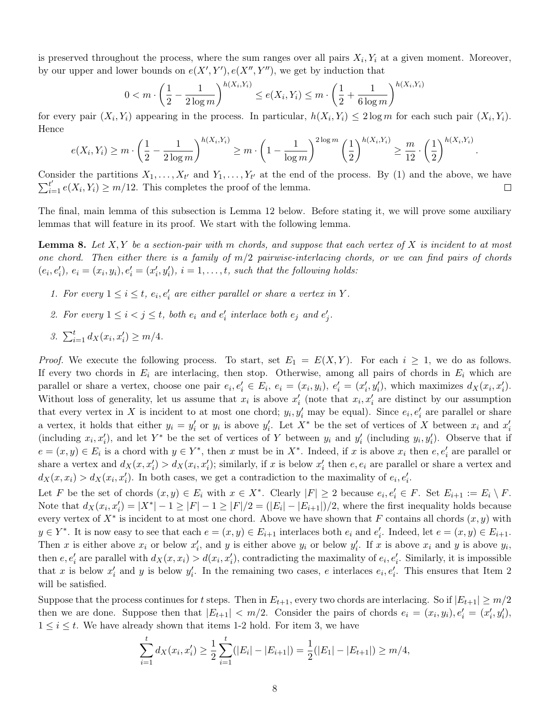is preserved throughout the process, where the sum ranges over all pairs  $X_i, Y_i$  at a given moment. Moreover, by our upper and lower bounds on  $e(X', Y'), e(X'', Y'')$ , we get by induction that

$$
0 < m \cdot \left(\frac{1}{2} - \frac{1}{2\log m}\right)^{h(X_i, Y_i)} \le e(X_i, Y_i) \le m \cdot \left(\frac{1}{2} + \frac{1}{6\log m}\right)^{h(X_i, Y_i)}
$$

for every pair  $(X_i, Y_i)$  appearing in the process. In particular,  $h(X_i, Y_i) \leq 2 \log m$  for each such pair  $(X_i, Y_i)$ . Hence

$$
e(X_i, Y_i) \ge m \cdot \left(\frac{1}{2} - \frac{1}{2\log m}\right)^{h(X_i, Y_i)} \ge m \cdot \left(1 - \frac{1}{\log m}\right)^{2\log m} \left(\frac{1}{2}\right)^{h(X_i, Y_i)} \ge \frac{m}{12} \cdot \left(\frac{1}{2}\right)^{h(X_i, Y_i)}
$$

.

Consider the partitions  $X_1, \ldots, X_{t'}$  and  $Y_1, \ldots, Y_{t'}$  at the end of the process. By [\(1\)](#page-6-1) and the above, we have  $\sum_{i=1}^{t'} e(X_i, Y_i) \geq m/12$ . This completes the proof of the lemma.  $\Box$ 

The final, main lemma of this subsection is Lemma [12](#page-10-0) below. Before stating it, we will prove some auxiliary lemmas that will feature in its proof. We start with the following lemma.

<span id="page-7-0"></span>**Lemma 8.** Let  $X, Y$  be a section-pair with m chords, and suppose that each vertex of X is incident to at most one chord. Then either there is a family of  $m/2$  pairwise-interlacing chords, or we can find pairs of chords  $(e_i, e'_i), e_i = (x_i, y_i), e'_i = (x'_i, y'_i), i = 1, \ldots, t$ , such that the following holds:

- 1. For every  $1 \leq i \leq t$ ,  $e_i, e'_i$  are either parallel or share a vertex in Y.
- 2. For every  $1 \leq i < j \leq t$ , both  $e_i$  and  $e'_i$  interlace both  $e_j$  and  $e'_j$ .
- 3.  $\sum_{i=1}^{t} d_{X}(x_i, x'_i) \geq m/4.$

*Proof.* We execute the following process. To start, set  $E_1 = E(X, Y)$ . For each  $i \geq 1$ , we do as follows. If every two chords in  $E_i$  are interlacing, then stop. Otherwise, among all pairs of chords in  $E_i$  which are parallel or share a vertex, choose one pair  $e_i, e'_i \in E_i$ ,  $e_i = (x_i, y_i), e'_i = (x'_i, y'_i)$ , which maximizes  $d_X(x_i, x'_i)$ . Without loss of generality, let us assume that  $x_i$  is above  $x_i'$  (note that  $x_i, x_i'$  are distinct by our assumption that every vertex in X is incident to at most one chord;  $y_i, y'_i$  may be equal). Since  $e_i, e'_i$  are parallel or share a vertex, it holds that either  $y_i = y'_i$  or  $y_i$  is above  $y'_i$ . Let  $X^*$  be the set of vertices of X between  $x_i$  and  $x'_i$ (including  $x_i, x'_i$ ), and let Y<sup>\*</sup> be the set of vertices of Y between  $y_i$  and  $y'_i$  (including  $y_i, y'_i$ ). Observe that if  $e = (x, y) \in E_i$  is a chord with  $y \in Y^*$ , then x must be in  $X^*$ . Indeed, if x is above  $x_i$  then  $e, e'_i$  are parallel or share a vertex and  $d_X(x, x'_i) > d_X(x_i, x'_i)$ ; similarly, if x is below  $x'_i$  then  $e, e_i$  are parallel or share a vertex and  $d_X(x, x_i) > d_X(x_i, x'_i)$ . In both cases, we get a contradiction to the maximality of  $e_i, e'_i$ .

Let F be the set of chords  $(x, y) \in E_i$  with  $x \in X^*$ . Clearly  $|F| \geq 2$  because  $e_i, e'_i \in F$ . Set  $E_{i+1} := E_i \setminus F$ . Note that  $d_X(x_i, x_i') = |X^*| - 1 \geq |F| - 1 \geq |F|/2 = (|E_i| - |E_{i+1}|)/2$ , where the first inequality holds because every vertex of  $X^*$  is incident to at most one chord. Above we have shown that F contains all chords  $(x, y)$  with  $y \in Y^*$ . It is now easy to see that each  $e = (x, y) \in E_{i+1}$  interlaces both  $e_i$  and  $e'_i$ . Indeed, let  $e = (x, y) \in E_{i+1}$ . Then x is either above  $x_i$  or below  $x'_i$ , and y is either above  $y_i$  or below  $y'_i$ . If x is above  $x_i$  and y is above  $y_i$ , then  $e, e'_i$  are parallel with  $d_X(x, x_i) > d(x_i, x'_i)$ , contradicting the maximality of  $e_i, e'_i$ . Similarly, it is impossible that x is below  $x'_i$  and y is below  $y'_i$ . In the remaining two cases, e interlaces  $e_i, e'_i$ . This ensures that Item 2 will be satisfied.

Suppose that the process continues for t steps. Then in  $E_{t+1}$ , every two chords are interlacing. So if  $|E_{t+1}| \ge m/2$ then we are done. Suppose then that  $|E_{t+1}| < m/2$ . Consider the pairs of chords  $e_i = (x_i, y_i), e'_i = (x'_i, y'_i)$ ,  $1 \leq i \leq t$ . We have already shown that items 1-2 hold. For item 3, we have

$$
\sum_{i=1}^{t} d_{X}(x_{i}, x_{i}') \geq \frac{1}{2} \sum_{i=1}^{t} (|E_{i}| - |E_{i+1}|) = \frac{1}{2}(|E_{1}| - |E_{t+1}|) \geq m/4,
$$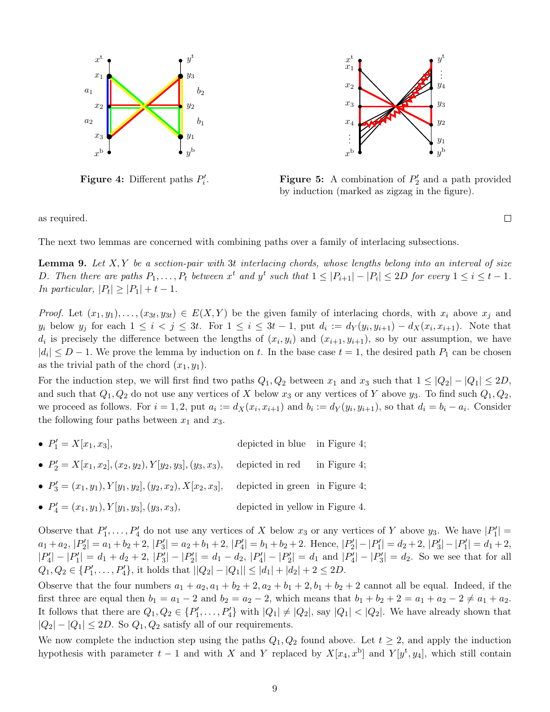<span id="page-8-0"></span>

**Figure 4:** Different paths  $P'_i$ .



**Figure 5:** A combination of  $P'_2$  and a path provided by induction (marked as zigzag in the figure).

 $\Box$ 

as required.

<span id="page-8-1"></span>The next two lemmas are concerned with combining paths over a family of interlacing subsections.

**Lemma 9.** Let  $X, Y$  be a section-pair with 3t interlacing chords, whose lengths belong into an interval of size D. Then there are paths  $P_1, \ldots, P_t$  between  $x^t$  and  $y^t$  such that  $1 \leq |P_{i+1}| - |P_i| \leq 2D$  for every  $1 \leq i \leq t-1$ . In particular,  $|P_t| \geq |P_1| + t - 1$ .

*Proof.* Let  $(x_1, y_1), \ldots, (x_{3t}, y_{3t}) \in E(X, Y)$  be the given family of interlacing chords, with  $x_i$  above  $x_j$  and  $y_i$  below  $y_j$  for each  $1 \leq i < j \leq 3t$ . For  $1 \leq i \leq 3t-1$ , put  $d_i := d_Y(y_i, y_{i+1}) - d_X(x_i, x_{i+1})$ . Note that  $d_i$  is precisely the difference between the lengths of  $(x_i, y_i)$  and  $(x_{i+1}, y_{i+1})$ , so by our assumption, we have  $|d_i| \leq D-1$ . We prove the lemma by induction on t. In the base case  $t = 1$ , the desired path  $P_1$  can be chosen as the trivial path of the chord  $(x_1, y_1)$ .

For the induction step, we will first find two paths  $Q_1, Q_2$  between  $x_1$  and  $x_3$  such that  $1 \leq |Q_2| - |Q_1| \leq 2D$ , and such that  $Q_1, Q_2$  do not use any vertices of X below  $x_3$  or any vertices of Y above  $y_3$ . To find such  $Q_1, Q_2$ , we proceed as follows. For  $i = 1, 2$ , put  $a_i := d_X(x_i, x_{i+1})$  and  $b_i := d_Y(y_i, y_{i+1})$ , so that  $d_i = b_i - a_i$ . Consider the following four paths between  $x_1$  and  $x_3$ .

- $\bullet$   $P'_1$ depicted in blue in Figure [4;](#page-8-0)
- $P'_2 = X[x_1, x_2], (x_2, y_2), Y[y_2, y_3], (y_3, x_3),$  depicted in red in Figure [4;](#page-8-0)
- $P'_3 = (x_1, y_1), Y[y_1, y_2], (y_2, x_2), X[x_2, x_3],$  depicted in green in Figure [4;](#page-8-0)
- $P'_4 = (x_1, y_1), Y[y_1, y_3], (y_3, x_3),$  depicted in yellow in Figure [4.](#page-8-0)

Observe that  $P'_1, \ldots, P'_4$  do not use any vertices of X below  $x_3$  or any vertices of Y above  $y_3$ . We have  $|P'_1|$  =  $a_1 + a_2, |P'_2| = a_1 + b_2 + 2, |P'_3| = a_2 + b_1 + 2, |P'_4| = b_1 + b_2 + 2.$  Hence,  $|P'_2| - |P'_1| = d_2 + 2, |P'_3| - |P'_1| = d_1 + 2,$  $|P'_4| - |P'_1| = d_1 + d_2 + 2$ ,  $|P'_3| - |P'_2| = d_1 - d_2$ ,  $|P'_4| - |P'_2| = d_1$  and  $|P'_4| - |P'_3| = d_2$ . So we see that for all  $Q_1, Q_2 \in \{P'_1, \ldots, P'_4\},\$ it holds that  $||Q_2| - |Q_1|| \leq |d_1| + |d_2| + 2 \leq 2D.$ 

Observe that the four numbers  $a_1 + a_2$ ,  $a_1 + b_2 + 2$ ,  $a_2 + b_1 + 2$ ,  $b_1 + b_2 + 2$  cannot all be equal. Indeed, if the first three are equal then  $b_1 = a_1 - 2$  and  $b_2 = a_2 - 2$ , which means that  $b_1 + b_2 + 2 = a_1 + a_2 - 2 \neq a_1 + a_2$ . It follows that there are  $Q_1, Q_2 \in \{P'_1, \ldots, P'_4\}$  with  $|Q_1| \neq |Q_2|$ , say  $|Q_1| < |Q_2|$ . We have already shown that  $|Q_2| - |Q_1| \leq 2D$ . So  $Q_1, Q_2$  satisfy all of our requirements.

We now complete the induction step using the paths  $Q_1, Q_2$  found above. Let  $t \geq 2$ , and apply the induction hypothesis with parameter  $t-1$  and with X and Y replaced by  $X[x_4, x^b]$  and  $Y[y^t, y_4]$ , which still contain

9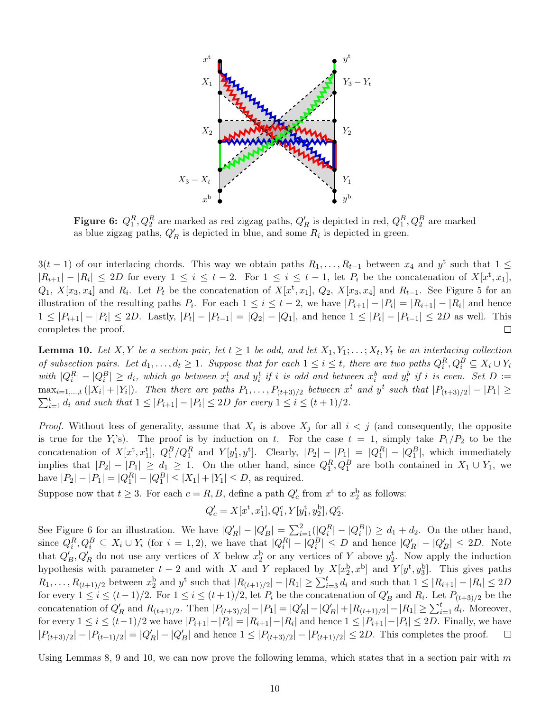<span id="page-9-0"></span>

Figure 6:  $Q_1^R, Q_2^R$  are marked as red zigzag paths,  $Q'_R$  is depicted in red,  $Q_1^B, Q_2^B$  are marked as blue zigzag paths,  $Q'_B$  is depicted in blue, and some  $R_i$  is depicted in green.

 $3(t-1)$  of our interlacing chords. This way we obtain paths  $R_1, \ldots, R_{t-1}$  between  $x_4$  and  $y^t$  such that  $1 \leq$  $|R_{i+1}| - |R_i| \leq 2D$  for every  $1 \leq i \leq t-2$ . For  $1 \leq i \leq t-1$ , let  $P_i$  be the concatenation of  $X[x^t, x_1]$ ,  $Q_1, X[x_3, x_4]$  and  $R_i$ . Let  $P_t$  be the concatenation of  $X[x^t, x_1], Q_2, X[x_3, x_4]$  and  $R_{t-1}$ . See Figure [5](#page-8-0) for an illustration of the resulting paths  $P_i$ . For each  $1 \leq i \leq t-2$ , we have  $|P_{i+1}| - |P_i| = |R_{i+1}| - |R_i|$  and hence  $1 \leq |P_{i+1}| - |P_i| \leq 2D$ . Lastly,  $|P_t| - |P_{t-1}| = |Q_2| - |Q_1|$ , and hence  $1 \leq |P_t| - |P_{t-1}| \leq 2D$  as well. This completes the proof.  $\Box$ 

<span id="page-9-1"></span>**Lemma 10.** Let X, Y be a section-pair, let  $t \ge 1$  be odd, and let  $X_1, Y_1; \ldots; X_t, Y_t$  be an interlacing collection of subsection pairs. Let  $d_1, \ldots, d_t \geq 1$ . Suppose that for each  $1 \leq i \leq t$ , there are two paths  $Q_i^R, Q_i^B \subseteq X_i \cup Y_i$ with  $|Q_i^R| - |Q_i^B| \geq d_i$ , which go between  $x_i^t$  and  $y_i^t$  if i is odd and between  $x_i^b$  and  $y_i^b$  if i is even. Set  $D :=$  $\max_{i=1,\dots,t}(|X_i|+|Y_i|)$ . Then there are paths  $P_1,\dots,P_{(t+3)/2}$  between  $x^t$  and  $y^t$  such that  $|P_{(t+3)/2}|-|P_1|\geq$  $\sum_{i=1}^t d_i$  and such that  $1 \leq |P_{i+1}| - |P_i| \leq 2D$  for every  $1 \leq i \leq (t+1)/2$ .

*Proof.* Without loss of generality, assume that  $X_i$  is above  $X_j$  for all  $i < j$  (and consequently, the opposite is true for the  $Y_i$ 's). The proof is by induction on t. For the case  $t = 1$ , simply take  $P_1/P_2$  to be the concatenation of  $X[x^t, x_1^t]$ ,  $Q_1^B/Q_1^R$  and  $Y[y_1^t, y^t]$ . Clearly,  $|P_2| - |P_1| = |Q_1^R| - |Q_1^B|$ , which immediately implies that  $|P_2| - |P_1| \ge d_1 \ge 1$ . On the other hand, since  $Q_1^R, Q_1^B$  are both contained in  $X_1 \cup Y_1$ , we have  $|P_2| - |P_1| = |Q_1^R| - |Q_1^B| \le |X_1| + |Y_1| \le D$ , as required.

Suppose now that  $t \geq 3$ . For each  $c = R, B$ , define a path  $Q'_c$  from  $x^t$  to  $x_2^b$  as follows:

$$
Q_c' = X[x^{\text{t}}, x_1^{\text{t}}], Q_1^c, Y[y_1^{\text{t}}, y_2^{\text{b}}], Q_2^c.
$$

See Figure [6](#page-9-0) for an illustration. We have  $|Q'_R| - |Q'_B| = \sum_{i=1}^2 (|Q_i^R| - |Q_i^B|) \ge d_1 + d_2$ . On the other hand, since  $Q_i^R, Q_i^B \subseteq X_i \cup Y_i$  (for  $i = 1, 2$ ), we have that  $|Q_i^R| - |Q_i^B| \le D$  and hence  $|Q'_R| - |Q'_B| \le 2D$ . Note that  $Q'_B, Q'_R$  do not use any vertices of X below  $x_2^b$  or any vertices of Y above  $y_2^t$ . Now apply the induction hypothesis with parameter  $t-2$  and with X and Y replaced by  $X[x_2^b, x^b]$  and  $Y[y^t, y_3^b]$ . This gives paths  $R_1, \ldots, R_{(t+1)/2}$  between  $x_2^b$  and  $y^t$  such that  $|R_{(t+1)/2}| - |R_1| \geq \sum_{i=3}^t d_i$  and such that  $1 \leq |R_{i+1}| - |R_i| \leq 2D$ for every  $1 \le i \le (t-1)/2$ . For  $1 \le i \le (t+1)/2$ , let  $P_i$  be the concatenation of  $Q'_B$  and  $R_i$ . Let  $P_{(t+3)/2}$  be the concatenation of  $Q'_R$  and  $R_{(t+1)/2}$ . Then  $|P_{(t+3)/2}| - |P_1| = |Q'_R| - |Q'_B| + |R_{(t+1)/2}| - |R_1| \ge \sum_{i=1}^t d_i$ . Moreover, for every  $1 \le i \le (t-1)/2$  we have  $|P_{i+1}|-|P_i|=|R_{i+1}|-|R_i|$  and hence  $1 \le |P_{i+1}|-|P_i| \le 2D$ . Finally, we have  $|P_{(t+3)/2}| - |P_{(t+1)/2}| = |Q'_R| - |Q'_B|$  and hence  $1 \leq |P_{(t+3)/2}| - |P_{(t+1)/2}| \leq 2D$ . This completes the proof.  $\Box$ 

Using Lemmas [8,](#page-7-0) [9](#page-8-1) and [10,](#page-9-1) we can now prove the following lemma, which states that in a section pair with  $m$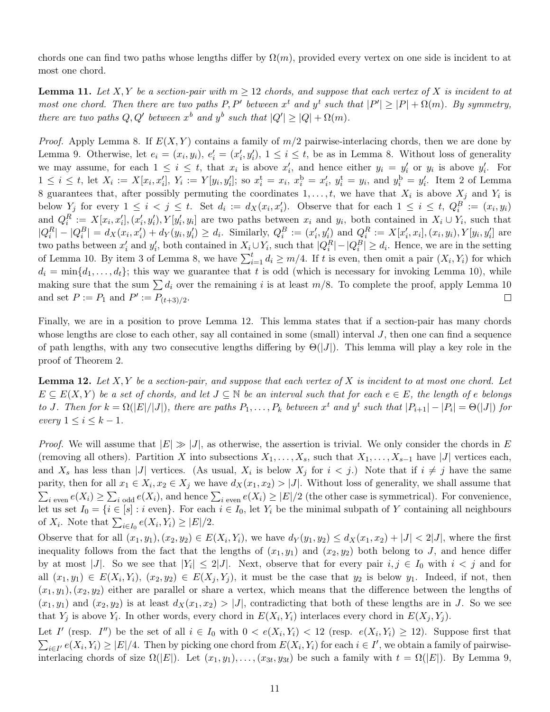chords one can find two paths whose lengths differ by  $\Omega(m)$ , provided every vertex on one side is incident to at most one chord.

<span id="page-10-1"></span>**Lemma 11.** Let X, Y be a section-pair with  $m \geq 12$  chords, and suppose that each vertex of X is incident to at most one chord. Then there are two paths P, P' between  $x^t$  and  $y^t$  such that  $|P'| \geq |P| + \Omega(m)$ . By symmetry, there are two paths  $Q, Q'$  between  $x^b$  and  $y^b$  such that  $|Q'| \geq |Q| + \Omega(m)$ .

*Proof.* Apply Lemma [8.](#page-7-0) If  $E(X, Y)$  contains a family of  $m/2$  pairwise-interlacing chords, then we are done by Lemma [9.](#page-8-1) Otherwise, let  $e_i = (x_i, y_i), e'_i = (x'_i, y'_i), 1 \le i \le t$ , be as in Lemma [8.](#page-7-0) Without loss of generality we may assume, for each  $1 \leq i \leq t$ , that  $x_i$  is above  $x'_i$ , and hence either  $y_i = y'_i$  or  $y_i$  is above  $y'_i$ . For  $1 \leq i \leq t$ , let  $X_i := X[x_i, x'_i]$ ,  $Y_i := Y[y_i, y'_i]$ ; so  $x_i^{\text{t}} = x_i$ ,  $x_i^{\text{b}} = x'_i$ ,  $y_i^{\text{t}} = y_i$ , and  $y_i^{\text{b}} = y'_i$ . Item 2 of Lemma [8](#page-7-0) guarantees that, after possibly permuting the coordinates  $1, \ldots, t$ , we have that  $X_i$  is above  $X_j$  and  $Y_i$  is below  $Y_j$  for every  $1 \le i \le j \le t$ . Set  $d_i := d_X(x_i, x'_i)$ . Observe that for each  $1 \le i \le t$ ,  $Q_i^B := (x_i, y_i)$ and  $Q_i^R := X[x_i, x'_i], (x'_i, y'_i), Y[y'_i, y_i]$  are two paths between  $x_i$  and  $y_i$ , both contained in  $X_i \cup Y_i$ , such that  $|Q_i^R| - |Q_i^B| = d_X(x_i, x'_i) + d_Y(y_i, y'_i) \ge d_i$ . Similarly,  $Q_i^B := (x'_i, y'_i)$  and  $Q_i^R := X[x'_i, x_i], (x_i, y_i), Y[y_i, y'_i]$  are two paths between  $x'_i$  and  $y'_i$ , both contained in  $X_i \cup Y_i$ , such that  $|Q_i^R| - |Q_i^B| \ge d_i$ . Hence, we are in the setting of Lemma [10.](#page-9-1) By item 3 of Lemma [8,](#page-7-0) we have  $\sum_{i=1}^{t} d_i \geq m/4$ . If t is even, then omit a pair  $(X_i, Y_i)$  for which  $d_i = \min\{d_1, \ldots, d_t\}$ ; this way we guarantee that t is odd (which is necessary for invoking Lemma [10\)](#page-9-1), while making sure that the sum  $\sum d_i$  over the remaining i is at least  $m/8$ . To complete the proof, apply Lemma [10](#page-9-1) and set  $P := P_1$  and  $P' := P_{(t+3)/2}$ .  $\Box$ 

Finally, we are in a position to prove Lemma [12.](#page-10-0) This lemma states that if a section-pair has many chords whose lengths are close to each other, say all contained in some (small) interval J, then one can find a sequence of path lengths, with any two consecutive lengths differing by  $\Theta(|J|)$ . This lemma will play a key role in the proof of Theorem [2.](#page-1-1)

<span id="page-10-0"></span>**Lemma 12.** Let  $X, Y$  be a section-pair, and suppose that each vertex of  $X$  is incident to at most one chord. Let  $E \subseteq E(X, Y)$  be a set of chords, and let  $J \subseteq \mathbb{N}$  be an interval such that for each  $e \in E$ , the length of e belongs to J. Then for  $k = \Omega(|E|/|J|)$ , there are paths  $P_1, \ldots, P_k$  between  $x^t$  and  $y^t$  such that  $|P_{i+1}| - |P_i| = \Theta(|J|)$  for every  $1 \leq i \leq k-1$ .

*Proof.* We will assume that  $|E| \gg |J|$ , as otherwise, the assertion is trivial. We only consider the chords in E (removing all others). Partition X into subsections  $X_1, \ldots, X_s$ , such that  $X_1, \ldots, X_{s-1}$  have |J| vertices each, and  $X_s$  has less than |J| vertices. (As usual,  $X_i$  is below  $X_j$  for  $i < j$ .) Note that if  $i \neq j$  have the same parity, then for all  $x_1 \in X_i$ ,  $x_2 \in X_j$  we have  $d_X(x_1, x_2) > |J|$ . Without loss of generality, we shall assume that  $\sum_{i \text{ even}} e(X_i) \geq \sum_{i \text{ odd}} e(X_i)$ , and hence  $\sum_{i \text{ even}} e(X_i) \geq |E|/2$  (the other case is symmetrical). For convenience, let us set  $I_0 = \{i \in [s] : i \text{ even}\}\.$  For each  $i \in I_0$ , let  $Y_i$  be the minimal subpath of Y containing all neighbours of  $X_i$ . Note that  $\sum_{i \in I_0} e(X_i, Y_i) \geq |E|/2$ .

Observe that for all  $(x_1, y_1), (x_2, y_2) \in E(X_i, Y_i)$ , we have  $d_Y(y_1, y_2) \le d_X(x_1, x_2) + |J| < 2|J|$ , where the first inequality follows from the fact that the lengths of  $(x_1, y_1)$  and  $(x_2, y_2)$  both belong to J, and hence differ by at most |J|. So we see that  $|Y_i| \leq 2|J|$ . Next, observe that for every pair  $i, j \in I_0$  with  $i < j$  and for all  $(x_1, y_1) \in E(X_i, Y_i), (x_2, y_2) \in E(X_j, Y_j)$ , it must be the case that  $y_2$  is below  $y_1$ . Indeed, if not, then  $(x_1, y_1), (x_2, y_2)$  either are parallel or share a vertex, which means that the difference between the lengths of  $(x_1, y_1)$  and  $(x_2, y_2)$  is at least  $d_X(x_1, x_2) > |J|$ , contradicting that both of these lengths are in J. So we see that  $Y_j$  is above  $Y_i$ . In other words, every chord in  $E(X_i, Y_i)$  interlaces every chord in  $E(X_j, Y_j)$ .

Let I' (resp. I'') be the set of all  $i \in I_0$  with  $0 < e(X_i, Y_i) < 12$  (resp.  $e(X_i, Y_i) \ge 12$ ). Suppose first that  $\sum_{i\in I'} e(X_i, Y_i) \geq |E|/4$ . Then by picking one chord from  $E(X_i, Y_i)$  for each  $i \in I'$ , we obtain a family of pairwiseinterlacing chords of size  $\Omega(|E|)$ . Let  $(x_1, y_1), \ldots, (x_{3t}, y_{3t})$  be such a family with  $t = \Omega(|E|)$ . By Lemma [9,](#page-8-1)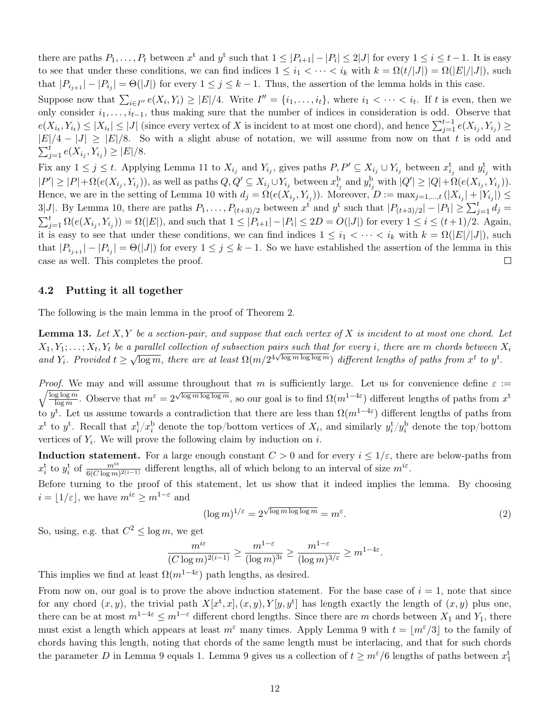there are paths  $P_1, \ldots, P_t$  between  $x^t$  and  $y^t$  such that  $1 \leq |P_{i+1}| - |P_i| \leq 2|J|$  for every  $1 \leq i \leq t-1$ . It is easy to see that under these conditions, we can find indices  $1 \leq i_1 < \cdots < i_k$  with  $k = \Omega(t/|J|) = \Omega(|E|/|J|)$ , such that  $|P_{i_{j+1}}| - |P_{i_j}| = \Theta(|J|)$  for every  $1 \leq j \leq k-1$ . Thus, the assertion of the lemma holds in this case.

Suppose now that  $\sum_{i\in I''} e(X_i,Y_i) \geq |E|/4$ . Write  $I'' = \{i_1,\ldots,i_t\}$ , where  $i_1 < \cdots < i_t$ . If t is even, then we only consider  $i_1, \ldots, i_{t-1}$ , thus making sure that the number of indices in consideration is odd. Observe that  $e(X_{i_t}, Y_{i_t}) \leq |X_{i_t}| \leq |J|$  (since every vertex of X is incident to at most one chord), and hence  $\sum_{j=1}^{t-1} e(X_{i_j}, Y_{i_j}) \geq$  $|E|/4 - |J| \geq |E|/8$ . So with a slight abuse of notation, we will assume from now on that t is odd and  $\sum_{j=1}^t e(X_{i_j}, Y_{i_j}) \geq |E|/8.$ 

Fix any  $1 \leq j \leq t$ . Applying Lemma [11](#page-10-1) to  $X_{i_j}$  and  $Y_{i_j}$ , gives paths  $P, P' \subseteq X_{i_j} \cup Y_{i_j}$  between  $x_{i_j}^t$  and  $y_{i_j}^t$  with  $|P'|\geq |P|+\Omega(e(X_{i_j}, Y_{i_j})),$  as well as paths  $Q,Q'\subseteq X_{i_j}\cup Y_{i_j}$  between  $x_{i_j}^{\mathrm{b}}$  and  $y_{i_j}^{\mathrm{b}}$  with  $|Q'|\geq |Q|+\Omega(e(X_{i_j}, Y_{i_j})).$ Hence, we are in the setting of Lemma [10](#page-9-1) with  $d_j = \Omega(e(X_{i_j}, Y_{i_j}))$ . Moreover,  $D := \max_{j=1,\dots,t} (|X_{i_j}| + |Y_{i_j}|) \le$ 3|J|. By Lemma [10,](#page-9-1) there are paths  $P_1, \ldots, P_{(t+3)/2}$  between  $x^t$  and  $y^t$  such that  $|P_{(t+3)/2}| - |P_1| \geq \sum_{j=1}^t d_j =$  $\sum_{j=1}^{t} \Omega(e(X_{i_j}, Y_{i_j})) = \Omega(|E|)$ , and such that  $1 \leq |P_{i+1}| - |P_i| \leq 2D = O(|J|)$  for every  $1 \leq i \leq (t+1)/2$ . Again, it is easy to see that under these conditions, we can find indices  $1 \leq i_1 < \cdots < i_k$  with  $k = \Omega(|E|/|J|)$ , such that  $|P_{i_{j+1}}| - |P_{i_j}| = \Theta(|J|)$  for every  $1 \leq j \leq k-1$ . So we have established the assertion of the lemma in this case as well. This completes the proof.  $\Box$ 

#### 4.2 Putting it all together

<span id="page-11-0"></span>The following is the main lemma in the proof of Theorem [2.](#page-1-1)

**Lemma 13.** Let  $X, Y$  be a section-pair, and suppose that each vertex of X is incident to at most one chord. Let  $X_1,Y_1;\ldots;X_t,Y_t$  be a parallel collection of subsection pairs such that for every i, there are m chords between  $X_i$ and  $Y_i$ . Provided  $t \geq$ √  $\overline{\log m}$ , there are at least  $\Omega(m/2^{4\sqrt{\log m \log \log m}})$  different lengths of paths from  $x^t$  to  $y^t$ .

*Proof.* We may and will assume throughout that m is sufficiently large. Let us for convenience define  $\varepsilon :=$  $\sqrt{\log \log m}$  $\frac{g \log m}{\log m}$ . Observe that  $m^{\varepsilon} = 2^{\sqrt{\log m \log \log m}}$ , so our goal is to find  $\Omega(m^{1-4\varepsilon})$  different lengths of paths from  $x^{\mathrm{t}}$ to y<sup>t</sup>. Let us assume towards a contradiction that there are less than  $\Omega(m^{1-4\varepsilon})$  different lengths of paths from  $x^t$  to  $y^t$ . Recall that  $x_i^t/x_i^b$  denote the top/bottom vertices of  $X_i$ , and similarly  $y_i^t/y_i^b$  denote the top/bottom vertices of  $Y_i$ . We will prove the following claim by induction on i.

**Induction statement.** For a large enough constant  $C > 0$  and for every  $i \leq 1/\varepsilon$ , there are below-paths from  $x_i^t$  to  $y_i^t$  of  $\frac{m^{i\epsilon}}{6(C \log m)^{2(i-1)}}$  different lengths, all of which belong to an interval of size  $m^{i\epsilon}$ .

Before turning to the proof of this statement, let us show that it indeed implies the lemma. By choosing  $i = |1/\varepsilon|$ , we have  $m^{i\varepsilon} \ge m^{1-\varepsilon}$  and

<span id="page-11-1"></span>
$$
(\log m)^{1/\varepsilon} = 2^{\sqrt{\log m \log \log m}} = m^{\varepsilon}.
$$
\n(2)

So, using, e.g. that  $C^2 \le \log m$ , we get

$$
\frac{m^{i\varepsilon}}{(C\log m)^{2(i-1)}} \ge \frac{m^{1-\varepsilon}}{(\log m)^{3i}} \ge \frac{m^{1-\varepsilon}}{(\log m)^{3/\varepsilon}} \ge m^{1-4\varepsilon}.
$$

This implies we find at least  $\Omega(m^{1-4\varepsilon})$  path lengths, as desired.

From now on, our goal is to prove the above induction statement. For the base case of  $i = 1$ , note that since for any chord  $(x, y)$ , the trivial path  $X[x^t, x], (x, y), Y[y, y^t]$  has length exactly the length of  $(x, y)$  plus one, there can be at most  $m^{1-4\varepsilon} \leq m^{1-\varepsilon}$  different chord lengths. Since there are m chords between  $X_1$  and  $Y_1$ , there must exist a length which appears at least  $m^{\epsilon}$  many times. Apply Lemma [9](#page-8-1) with  $t = |m^{\epsilon}/3|$  to the family of chords having this length, noting that chords of the same length must be interlacing, and that for such chords the parameter D in Lemma [9](#page-8-1) equals 1. Lemma 9 gives us a collection of  $t \geq m^{\epsilon}/6$  lengths of paths between  $x_1^t$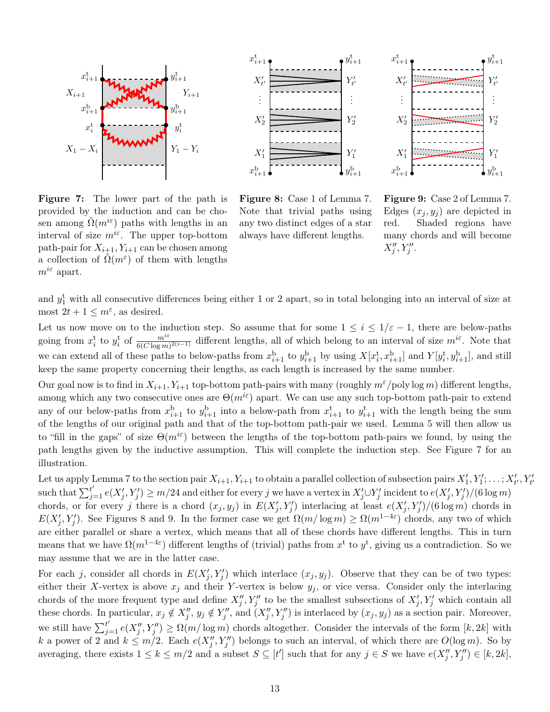<span id="page-12-0"></span>

Figure 7: The lower part of the path is provided by the induction and can be chosen among  $\Omega(m^{i\epsilon})$  paths with lengths in an interval of size  $m^{i\epsilon}$ . The upper top-bottom path-pair for  $X_{i+1}, Y_{i+1}$  can be chosen among a collection of  $\tilde{\Omega}(m^{\varepsilon})$  of them with lengths  $m^{i\epsilon}$  apart.



Figure 8: Case 1 of Lemma [7.](#page-6-0) Note that trivial paths using any two distinct edges of a star always have different lengths.

Figure 9: Case 2 of Lemma [7.](#page-6-0) Edges  $(x_j, y_j)$  are depicted in red. Shaded regions have many chords and will become  $X''_j, Y''_j.$ 

and  $y_1^t$  with all consecutive differences being either 1 or 2 apart, so in total belonging into an interval of size at most  $2t + 1 \leq m^{\epsilon}$ , as desired.

Let us now move on to the induction step. So assume that for some  $1 \leq i \leq 1/\varepsilon - 1$ , there are below-paths going from  $x_i^t$  to  $y_i^t$  of  $\frac{m^{i\epsilon}}{6(C \log m)^{2(i-1)}}$  different lengths, all of which belong to an interval of size  $m^{i\epsilon}$ . Note that we can extend all of these paths to below-paths from  $x_{i+1}^{\mathrm{b}}$  to  $y_{i+1}^{\mathrm{b}}$  by using  $X[x_i^{\mathrm{t}}, x_{i+1}^{\mathrm{b}}]$  and  $Y[y_i^{\mathrm{t}}, y_{i+1}^{\mathrm{b}}]$ , and still keep the same property concerning their lengths, as each length is increased by the same number.

Our goal now is to find in  $X_{i+1}, Y_{i+1}$  top-bottom path-pairs with many (roughly  $m^{\epsilon}/p$ oly log m) different lengths, among which any two consecutive ones are  $\Theta(m^{i\epsilon})$  apart. We can use any such top-bottom path-pair to extend any of our below-paths from  $x_{i+1}^{\mathrm{b}}$  to  $y_{i+1}^{\mathrm{b}}$  into a below-path from  $x_{i+1}^{\mathrm{t}}$  to  $y_{i+1}^{\mathrm{t}}$  with the length being the sum of the lengths of our original path and that of the top-bottom path-pair we used. Lemma [5](#page-4-2) will then allow us to "fill in the gaps" of size  $\Theta(m^{i\epsilon})$  between the lengths of the top-bottom path-pairs we found, by using the path lengths given by the inductive assumption. This will complete the induction step. See Figure [7](#page-12-0) for an illustration.

Let us apply Lemma [7](#page-6-0) to the section pair  $X_{i+1}, Y_{i+1}$  to obtain a parallel collection of subsection pairs  $X'_1, Y'_1, \ldots, X'_{t'}, Y'_{t'}$ such that  $\sum_{j=1}^{t'} e(X'_j, Y'_j) \geq m/24$  and either for every j we have a vertex in  $X'_j \cup Y'_j$  incident to  $e(X'_j, Y'_j)/(6 \log m)$ chords, or for every j there is a chord  $(x_j, y_j)$  in  $E(X'_j, Y'_j)$  interlacing at least  $e(X'_j, Y'_j)/(6 \log m)$  chords in  $E(X'_j, Y'_j)$ . See Figures [8](#page-12-0) and [9.](#page-12-0) In the former case we get  $\Omega(m/\log m) \ge \Omega(m^{1-4\varepsilon})$  chords, any two of which are either parallel or share a vertex, which means that all of these chords have different lengths. This in turn means that we have  $\Omega(m^{1-4\varepsilon})$  different lengths of (trivial) paths from  $x^t$  to  $y^t$ , giving us a contradiction. So we may assume that we are in the latter case.

For each j, consider all chords in  $E(X'_j, Y'_j)$  which interlace  $(x_j, y_j)$ . Observe that they can be of two types: either their X-vertex is above  $x_j$  and their Y-vertex is below  $y_j$ , or vice versa. Consider only the interlacing chords of the more frequent type and define  $X''_j, Y''_j$  to be the smallest subsections of  $X'_j, Y'_j$  which contain all these chords. In particular,  $x_j \notin X''_j$ ,  $y_j \notin Y''_j$ , and  $(X''_j, Y''_j)$  is interlaced by  $(x_j, y_j)$  as a section pair. Moreover, we still have  $\sum_{j=1}^{t'} e(X''_j, Y''_j) \ge \Omega(m/\log m)$  chords altogether. Consider the intervals of the form  $[k, 2k]$  with k a power of 2 and  $k \leq m/2$ . Each  $e(X''_j, Y''_j)$  belongs to such an interval, of which there are  $O(\log m)$ . So by averaging, there exists  $1 \leq k \leq m/2$  and a subset  $S \subseteq [t']$  such that for any  $j \in S$  we have  $e(X''_j, Y''_j) \in [k, 2k]$ ,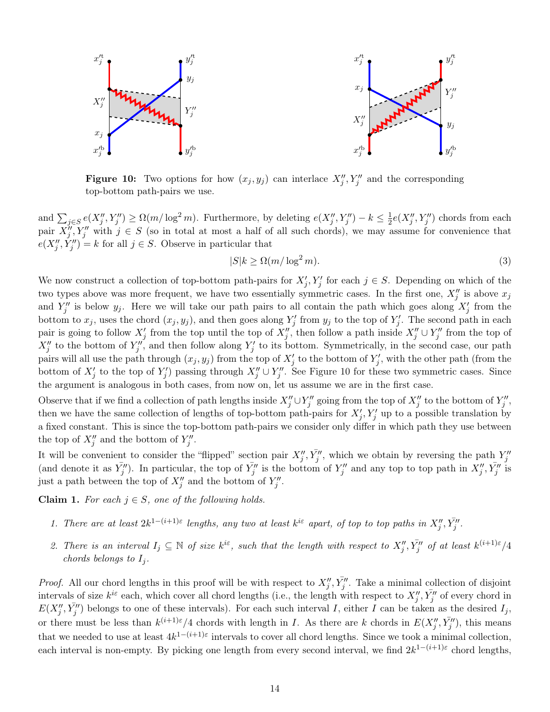<span id="page-13-0"></span>

**Figure 10:** Two options for how  $(x_j, y_j)$  can interlace  $X''_j, Y''_j$  and the corresponding top-bottom path-pairs we use.

and  $\sum_{j\in S}e(X''_j, Y''_j) \ge \Omega(m/\log^2 m)$ . Furthermore, by deleting  $e(X''_j, Y''_j) - k \le \frac{1}{2}$  $\frac{1}{2}e(X''_j, Y''_j)$  chords from each pair  $X''_j, Y''_j$  with  $j \in S$  (so in total at most a half of all such chords), we may assume for convenience that  $e(X''_j, Y''_j) = k$  for all  $j \in S$ . Observe in particular that

<span id="page-13-2"></span>
$$
|S|k \ge \Omega(m/\log^2 m). \tag{3}
$$

We now construct a collection of top-bottom path-pairs for  $X'_j, Y'_j$  for each  $j \in S$ . Depending on which of the two types above was more frequent, we have two essentially symmetric cases. In the first one,  $X''_j$  is above  $x_j$ and  $Y''_j$  is below  $y_j$ . Here we will take our path pairs to all contain the path which goes along  $X'_j$  from the bottom to  $x_j$ , uses the chord  $(x_j, y_j)$ , and then goes along  $Y'_j$  from  $y_j$  to the top of  $Y'_j$ . The second path in each pair is going to follow  $X'_j$  from the top until the top of  $X''_j$ , then follow a path inside  $X''_j \cup Y''_j$  from the top of  $X''_j$  to the bottom of  $Y''_j$ , and then follow along  $Y'_j$  to its bottom. Symmetrically, in the second case, our path pairs will all use the path through  $(x_j, y_j)$  from the top of  $X'_j$  to the bottom of  $Y'_j$ , with the other path (from the bottom of  $X'_j$  to the top of  $Y'_j$ ) passing through  $X''_j \cup Y''_j$ . See Figure [10](#page-13-0) for these two symmetric cases. Since the argument is analogous in both cases, from now on, let us assume we are in the first case.

Observe that if we find a collection of path lengths inside  $X''_j \cup Y''_j$  going from the top of  $X''_j$  to the bottom of  $Y''_j$ , then we have the same collection of lengths of top-bottom path-pairs for  $X'_j, Y'_j$  up to a possible translation by a fixed constant. This is since the top-bottom path-pairs we consider only differ in which path they use between the top of  $X''_j$  and the bottom of  $Y''_j$ .

It will be convenient to consider the "flipped" section pair  $X''_j$ ,  $\bar{Y}''_j$ , which we obtain by reversing the path  $Y''_j$ (and denote it as  $\bar{Y}_j''$ ). In particular, the top of  $\bar{Y}_j''$  is the bottom of  $Y_j''$  and any top to top path in  $X_j'', \bar{Y}_j''$  is just a path between the top of  $X''_j$  and the bottom of  $Y''_j$ .

<span id="page-13-1"></span>**Claim 1.** For each  $j \in S$ , one of the following holds.

- 1. There are at least  $2k^{1-(i+1)\epsilon}$  lengths, any two at least  $k^{i\epsilon}$  apart, of top to top paths in  $X''_j, \overline{Y''_j}$ .
- 2. There is an interval  $I_j \subseteq \mathbb{N}$  of size  $k^{i\varepsilon}$ , such that the length with respect to  $X''_j$ ,  $\bar{Y}''_j$  of at least  $k^{(i+1)\varepsilon}/4$ chords belongs to  $I_i$ .

*Proof.* All our chord lengths in this proof will be with respect to  $X''_j$ ,  $\bar{Y}''_j$ . Take a minimal collection of disjoint intervals of size  $k^{i\epsilon}$  each, which cover all chord lengths (i.e., the length with respect to  $X''_j$ ,  $\bar{Y}''_j$  of every chord in  $E(X''_j, \bar{Y''_j})$  belongs to one of these intervals). For each such interval I, either I can be taken as the desired  $I_j$ , or there must be less than  $k^{(i+1)\varepsilon}/4$  chords with length in I. As there are k chords in  $E(X''_j, \bar{Y}''_j)$ , this means that we needed to use at least  $4k^{1-(i+1)\varepsilon}$  intervals to cover all chord lengths. Since we took a minimal collection, each interval is non-empty. By picking one length from every second interval, we find  $2k^{1-(i+1)\varepsilon}$  chord lengths,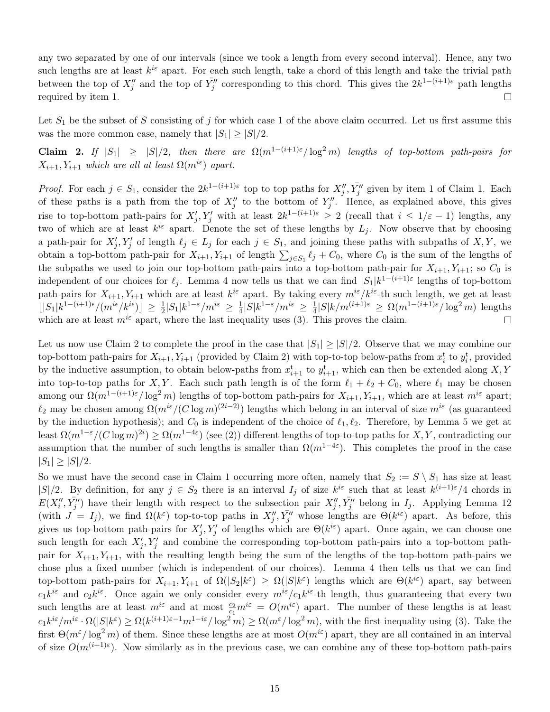any two separated by one of our intervals (since we took a length from every second interval). Hence, any two such lengths are at least  $k^{i\varepsilon}$  apart. For each such length, take a chord of this length and take the trivial path between the top of  $X''_j$  and the top of  $\bar{Y''_j}$  corresponding to this chord. This gives the  $2k^{1-(i+1)\varepsilon}$  path lengths required by item 1.  $\Box$ 

Let  $S_1$  be the subset of S consisting of j for which case 1 of the above claim occurred. Let us first assume this was the more common case, namely that  $|S_1| \geq |S|/2$ .

<span id="page-14-0"></span>Claim 2. If  $|S_1| \geq |S|/2$ , then there are  $\Omega(m^{1-(i+1)\varepsilon}/\log^2 m)$  lengths of top-bottom path-pairs for  $X_{i+1}, Y_{i+1}$  which are all at least  $\Omega(m^{i\varepsilon})$  apart.

*Proof.* For each  $j \in S_1$ , consider the  $2k^{1-(i+1)\varepsilon}$  top to top paths for  $X''_j, \overline{Y''_j}$  given by item 1 of Claim [1.](#page-13-1) Each of these paths is a path from the top of  $X''_j$  to the bottom of  $Y''_j$ . Hence, as explained above, this gives rise to top-bottom path-pairs for  $X'_j, Y'_j$  with at least  $2k^{1-(i+1)\varepsilon} \geq 2$  (recall that  $i \leq 1/\varepsilon - 1$ ) lengths, any two of which are at least  $k^{i\varepsilon}$  apart. Denote the set of these lengths by  $L_j$ . Now observe that by choosing a path-pair for  $X'_j, Y'_j$  of length  $\ell_j \in L_j$  for each  $j \in S_1$ , and joining these paths with subpaths of  $X, Y$ , we obtain a top-bottom path-pair for  $X_{i+1}, Y_{i+1}$  of length  $\sum_{j\in S_1} \ell_j + C_0$ , where  $C_0$  is the sum of the lengths of the subpaths we used to join our top-bottom path-pairs into a top-bottom path-pair for  $X_{i+1}, Y_{i+1}$ ; so  $C_0$  is independent of our choices for  $\ell_j$ . Lemma [4](#page-4-0) now tells us that we can find  $|S_1|k^{1-(i+1)\varepsilon}$  lengths of top-bottom path-pairs for  $X_{i+1}, Y_{i+1}$  which are at least  $k^{i\varepsilon}$  apart. By taking every  $m^{i\varepsilon}/k^{i\varepsilon}$ -th such length, we get at least  $\lfloor |S_1|k^{1-(i+1)\epsilon}/(m^{i\epsilon}/k^{i\epsilon})\rfloor \geq \frac{1}{2}|S_1|k^{1-\epsilon}/m^{i\epsilon} \geq \frac{1}{4}$  $\frac{1}{4}|S|k^{1-\varepsilon}/m^{i\varepsilon} \, \geq \, \frac{1}{4}$  $\frac{1}{4}|S|k/m^{(i+1)\varepsilon} \ge \Omega(m^{1-(i+1)\varepsilon}/\log^2 m)$  lengths which are at least  $m^{i\epsilon}$  apart, where the last inequality uses [\(3\)](#page-13-2). This proves the claim.  $\Box$ 

Let us now use Claim [2](#page-14-0) to complete the proof in the case that  $|S_1| \geq |S|/2$ . Observe that we may combine our top-bottom path-pairs for  $X_{i+1}, Y_{i+1}$  (provided by Claim [2\)](#page-14-0) with top-to-top below-paths from  $x_i^t$  to  $y_i^t$ , provided by the inductive assumption, to obtain below-paths from  $x_{i+1}^t$  to  $y_{i+1}^t$ , which can then be extended along X, Y into top-to-top paths for X, Y. Each such path length is of the form  $\ell_1 + \ell_2 + C_0$ , where  $\ell_1$  may be chosen among our  $\Omega(m^{1-(i+1)\varepsilon}/\log^2 m)$  lengths of top-bottom path-pairs for  $X_{i+1}, Y_{i+1}$ , which are at least  $m^{i\varepsilon}$  apart;  $\ell_2$  may be chosen among  $\Omega(m^{i\varepsilon}/(C \log m)^{(2i-2)})$  lengths which belong in an interval of size  $m^{i\varepsilon}$  (as guaranteed by the induction hypothesis); and  $C_0$  is independent of the choice of  $\ell_1, \ell_2$ . Therefore, by Lemma [5](#page-4-2) we get at least  $\Omega(m^{1-\varepsilon}/(C \log m)^{2i}) \ge \Omega(m^{1-4\varepsilon})$  (see [\(2\)](#page-11-1)) different lengths of top-to-top paths for X, Y, contradicting our assumption that the number of such lengths is smaller than  $\Omega(m^{1-4\varepsilon})$ . This completes the proof in the case  $|S_1| \geq |S|/2$ .

So we must have the second case in Claim [1](#page-13-1) occurring more often, namely that  $S_2 := S \setminus S_1$  has size at least  $|S|/2$ . By definition, for any  $j \in S_2$  there is an interval  $I_j$  of size  $k^{i\epsilon}$  such that at least  $k^{(i+1)\epsilon}/4$  chords in  $E(X''_i, \bar{Y''_j})$  have their length with respect to the subsection pair  $X''_j, \bar{Y''_j}$  belong in  $I_j$ . Applying Lemma [12](#page-10-0) (with  $J = I_j$ ), we find  $\Omega(k^{\varepsilon})$  top-to-top paths in  $X''_j$ ,  $\bar{Y}''_j$  whose lengths are  $\Theta(k^{i\varepsilon})$  apart. As before, this gives us top-bottom path-pairs for  $X'_j, Y'_j$  of lengths which are  $\Theta(k^{i\epsilon})$  apart. Once again, we can choose one such length for each  $X'_j, Y'_j$  and combine the corresponding top-bottom path-pairs into a top-bottom pathpair for  $X_{i+1}, Y_{i+1}$ , with the resulting length being the sum of the lengths of the top-bottom path-pairs we chose plus a fixed number (which is independent of our choices). Lemma [4](#page-4-0) then tells us that we can find top-bottom path-pairs for  $X_{i+1}, Y_{i+1}$  of  $\Omega(|S_2|k^{\varepsilon}) \geq \Omega(|S|k^{\varepsilon})$  lengths which are  $\Theta(k^{i\varepsilon})$  apart, say between  $c_1k^{i\varepsilon}$  and  $c_2k^{i\varepsilon}$ . Once again we only consider every  $m^{i\varepsilon}/c_1k^{i\varepsilon}$ -th length, thus guaranteeing that every two such lengths are at least  $m^{i\epsilon}$  and at most  $\frac{c_2}{c_1}m^{i\epsilon} = O(m^{i\epsilon})$  apart. The number of these lengths is at least  $c_1 k^{i\varepsilon}/m^{i\varepsilon} \cdot \Omega(|S| k^{\varepsilon}) \ge \Omega(k^{(i+1)\varepsilon-1} m^{1-i\varepsilon}/\log^2 m) \ge \Omega(m^{\varepsilon}/\log^2 m)$ , with the first inequality using [\(3\)](#page-13-2). Take the first  $\Theta(m^{\epsilon}/\log^2 m)$  of them. Since these lengths are at most  $O(m^{i\epsilon})$  apart, they are all contained in an interval of size  $O(m^{(i+1)\varepsilon})$ . Now similarly as in the previous case, we can combine any of these top-bottom path-pairs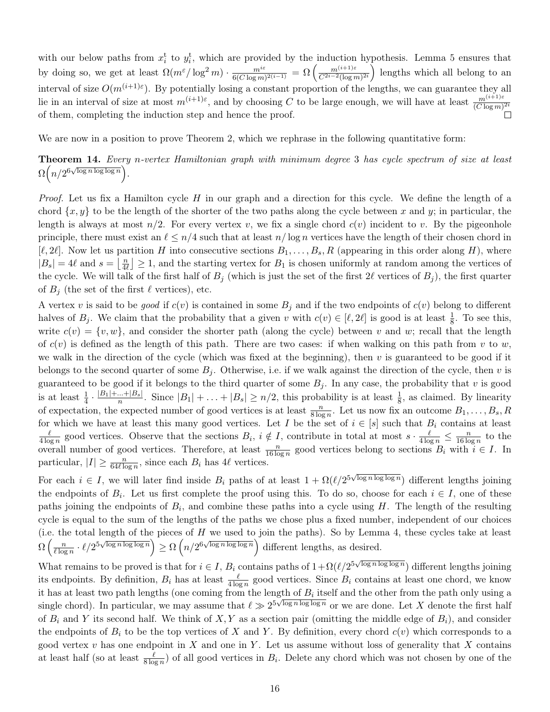with our below paths from  $x_i^t$  to  $y_i^t$ , which are provided by the induction hypothesis. Lemma [5](#page-4-2) ensures that  $\frac{m^{i\varepsilon}}{6(C\log m)^{2(i-1)}} = \Omega\left(\frac{m^{(i+1)\varepsilon}}{C^{2i-2}(\log m)}\right)$  $\frac{m^{(i+1)\varepsilon}}{C^{2i-2}(\log m)^{2i}}$  lengths which all belong to an by doing so, we get at least  $\Omega(m^{\epsilon}/\log^2 m) \cdot \frac{m^{i\epsilon}}{\epsilon(G)\log m}$ interval of size  $O(m^{(i+1)\varepsilon})$ . By potentially losing a constant proportion of the lengths, we can guarantee they all lie in an interval of size at most  $m^{(i+1)\varepsilon}$ , and by choosing C to be large enough, we will have at least  $\frac{m^{(i+1)\varepsilon}}{(C \log m)^{2i}}$ of them, completing the induction step and hence the proof. П

<span id="page-15-0"></span>We are now in a position to prove Theorem [2,](#page-1-1) which we rephrase in the following quantitative form:

Theorem 14. Every n-vertex Hamiltonian graph with minimum degree 3 has cycle spectrum of size at least  $\Omega\left(n/2^{6\sqrt{\log n \log \log n}}\right).$ 

*Proof.* Let us fix a Hamilton cycle  $H$  in our graph and a direction for this cycle. We define the length of a chord  $\{x, y\}$  to be the length of the shorter of the two paths along the cycle between x and y; in particular, the length is always at most  $n/2$ . For every vertex v, we fix a single chord  $c(v)$  incident to v. By the pigeonhole principle, there must exist an  $\ell \leq n/4$  such that at least  $n/\log n$  vertices have the length of their chosen chord in  $[\ell, 2\ell]$ . Now let us partition H into consecutive sections  $B_1, \ldots, B_s, R$  (appearing in this order along H), where  $|B_s| = 4\ell$  and  $s = \left| \frac{n}{4\ell} \right|$  $\left\lfloor \frac{n}{4\ell} \right\rfloor \geq 1$ , and the starting vertex for  $B_1$  is chosen uniformly at random among the vertices of the cycle. We will talk of the first half of  $B_j$  (which is just the set of the first 2 $\ell$  vertices of  $B_j$ ), the first quarter of  $B_i$  (the set of the first  $\ell$  vertices), etc.

A vertex v is said to be *good* if  $c(v)$  is contained in some  $B_j$  and if the two endpoints of  $c(v)$  belong to different halves of  $B_j$ . We claim that the probability that a given v with  $c(v) \in [\ell, 2\ell]$  is good is at least  $\frac{1}{8}$ . To see this, write  $c(v) = \{v, w\}$ , and consider the shorter path (along the cycle) between v and w; recall that the length of  $c(v)$  is defined as the length of this path. There are two cases: if when walking on this path from v to w, we walk in the direction of the cycle (which was fixed at the beginning), then  $v$  is guaranteed to be good if it belongs to the second quarter of some  $B_j$ . Otherwise, i.e. if we walk against the direction of the cycle, then v is guaranteed to be good if it belongs to the third quarter of some  $B_i$ . In any case, the probability that v is good is at least  $\frac{1}{4} \cdot \frac{|B_1| + ... + |B_s|}{n}$  $\frac{n+|B_s|}{n}$ . Since  $|B_1| + \ldots + |B_s| \geq n/2$ , this probability is at least  $\frac{1}{8}$ , as claimed. By linearity of expectation, the expected number of good vertices is at least  $\frac{n}{8 \log n}$ . Let us now fix an outcome  $B_1, \ldots, B_s, R_s$ for which we have at least this many good vertices. Let I be the set of  $i \in [s]$  such that  $B_i$  contains at least  $\ell$  $\frac{\ell}{4 \log n}$  good vertices. Observe that the sections  $B_i$ ,  $i \notin I$ , contribute in total at most  $s \cdot \frac{\ell}{4 \log n} \leq \frac{n}{16 \log n}$  $\frac{n}{16 \log n}$  to the overall number of good vertices. Therefore, at least  $\frac{n}{16 \log n}$  good vertices belong to sections  $B_i$  with  $i \in I$ . In particular,  $|I| \geq \frac{n}{64\ell \log n}$ , since each  $B_i$  has  $4\ell$  vertices.

For each  $i \in I$ , we will later find inside  $B_i$  paths of at least  $1 + \Omega(\ell/2^{5\sqrt{\log n \log \log n}})$  different lengths joining the endpoints of  $B_i$ . Let us first complete the proof using this. To do so, choose for each  $i \in I$ , one of these paths joining the endpoints of  $B_i$ , and combine these paths into a cycle using H. The length of the resulting cycle is equal to the sum of the lengths of the paths we chose plus a fixed number, independent of our choices (i.e. the total length of the pieces of  $H$  we used to join the paths). So by Lemma [4,](#page-4-0) these cycles take at least  $\Omega\left(\frac{n}{\ell\log n}\right)$  $\left(\frac{n}{\ell \log n} \cdot \ell / 2^{5\sqrt{\log n \log \log n}}\right) \ge \Omega\left(n/2^{6\sqrt{\log n \log \log n}}\right)$  different lengths, as desired.

What remains to be proved is that for  $i \in I$ ,  $B_i$  contains paths of  $1 + \Omega(\ell/2^{5\sqrt{\log n \log \log n}})$  different lengths joining its endpoints. By definition,  $B_i$  has at least  $\frac{\ell}{4 \log n}$  good vertices. Since  $B_i$  contains at least one chord, we know it has at least two path lengths (one coming from the length of  $B_i$  itself and the other from the path only using a single chord). In particular, we may assume that  $\ell \gg 2^{5\sqrt{\log n \log \log n}}$  or we are done. Let X denote the first half of  $B_i$  and Y its second half. We think of X, Y as a section pair (omitting the middle edge of  $B_i$ ), and consider the endpoints of  $B_i$  to be the top vertices of X and Y. By definition, every chord  $c(v)$  which corresponds to a good vertex v has one endpoint in X and one in Y. Let us assume without loss of generality that X contains at least half (so at least  $\frac{\ell}{8 \log n}$ ) of all good vertices in  $B_i$ . Delete any chord which was not chosen by one of the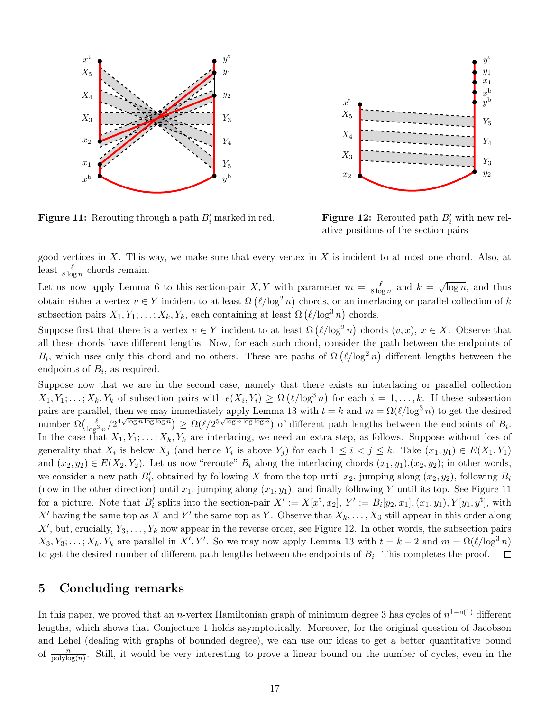<span id="page-16-1"></span>![](_page_16_Figure_0.jpeg)

 $x_2$  $X_3$  $X_4$  $X_5$  $x_1$  $y^{\rm b}$  $Y_5$  $Y_4$  $Y_3$  $x^{\mathrm{t}}$  $x^{\rm b}$  $y_1$  $y^{\rm t}$  $y_2$ 

**Figure 11:** Rerouting through a path  $B_i'$  marked in red.

**Figure 12:** Rerouted path  $B_i'$  with new relative positions of the section pairs

good vertices in  $X$ . This way, we make sure that every vertex in  $X$  is incident to at most one chord. Also, at least  $\frac{\ell}{8 \log n}$  chords remain.

Let us now apply Lemma [6](#page-5-0) to this section-pair X, Y with parameter  $m = \frac{\ell}{8 \log n}$  $\frac{\ell}{8 \log n}$  and  $k =$ √  $\overline{\log n}$ , and thus obtain either a vertex  $v \in Y$  incident to at least  $\Omega(\ell/\log^2 n)$  chords, or an interlacing or parallel collection of k subsection pairs  $X_1, Y_1; \ldots; X_k, Y_k$ , each containing at least  $\Omega\left(\ell/\log^3 n\right)$  chords.

Suppose first that there is a vertex  $v \in Y$  incident to at least  $\Omega(\ell/\log^2 n)$  chords  $(v, x), x \in X$ . Observe that all these chords have different lengths. Now, for each such chord, consider the path between the endpoints of  $B_i$ , which uses only this chord and no others. These are paths of  $\Omega(\ell/\log^2 n)$  different lengths between the endpoints of  $B_i$ , as required.

Suppose now that we are in the second case, namely that there exists an interlacing or parallel collection  $X_1, Y_1; \ldots; X_k, Y_k$  of subsection pairs with  $e(X_i, Y_i) \ge \Omega\left(\ell/\log^3 n\right)$  for each  $i = 1, \ldots, k$ . If these subsection pairs are parallel, then we may immediately apply Lemma [13](#page-11-0) with  $t = k$  and  $m = \Omega(\ell/\log^3 n)$  to get the desired number  $\Omega\left(\frac{\ell}{\log^3 n}/2^{4\sqrt{\log n \log \log n}}\right) \ge \Omega(\ell/2^{5\sqrt{\log n \log \log n}})$  of different path lengths between the endpoints of  $B_i$ . In the case that  $X_1, Y_1; \ldots; X_k, Y_k$  are interlacing, we need an extra step, as follows. Suppose without loss of generality that  $X_i$  is below  $X_j$  (and hence  $Y_i$  is above  $Y_j$ ) for each  $1 \leq i < j \leq k$ . Take  $(x_1, y_1) \in E(X_1, Y_1)$ and  $(x_2, y_2) \in E(X_2, Y_2)$ . Let us now "reroute"  $B_i$  along the interlacing chords  $(x_1, y_1), (x_2, y_2)$ ; in other words, we consider a new path  $B'_i$ , obtained by following X from the top until  $x_2$ , jumping along  $(x_2, y_2)$ , following  $B_i$ (now in the other direction) until  $x_1$ , jumping along  $(x_1, y_1)$ , and finally following Y until its top. See Figure [11](#page-16-1) for a picture. Note that  $B'_i$  splits into the section-pair  $X' := X[x^t, x_2], Y' := B_i[y_2, x_1], (x_1, y_1), Y[y_1, y^t],$  with X' having the same top as X and Y' the same top as Y. Observe that  $X_k, \ldots, X_3$  still appear in this order along  $X'$ , but, crucially,  $Y_3, \ldots, Y_k$  now appear in the reverse order, see Figure [12.](#page-16-1) In other words, the subsection pairs  $X_3, Y_3; \ldots; X_k, Y_k$  are parallel in  $X', Y'$ . So we may now apply Lemma [13](#page-11-0) with  $t = k - 2$  and  $m = \Omega(\ell/\log^3 n)$ to get the desired number of different path lengths between the endpoints of  $B_i$ . This completes the proof.  $\Box$ 

# <span id="page-16-0"></span>5 Concluding remarks

In this paper, we proved that an *n*-vertex Hamiltonian graph of minimum degree 3 has cycles of  $n^{1-o(1)}$  different lengths, which shows that Conjecture [1](#page-1-0) holds asymptotically. Moreover, for the original question of Jacobson and Lehel (dealing with graphs of bounded degree), we can use our ideas to get a better quantitative bound of  $\frac{n}{\text{polylog}(n)}$ . Still, it would be very interesting to prove a linear bound on the number of cycles, even in the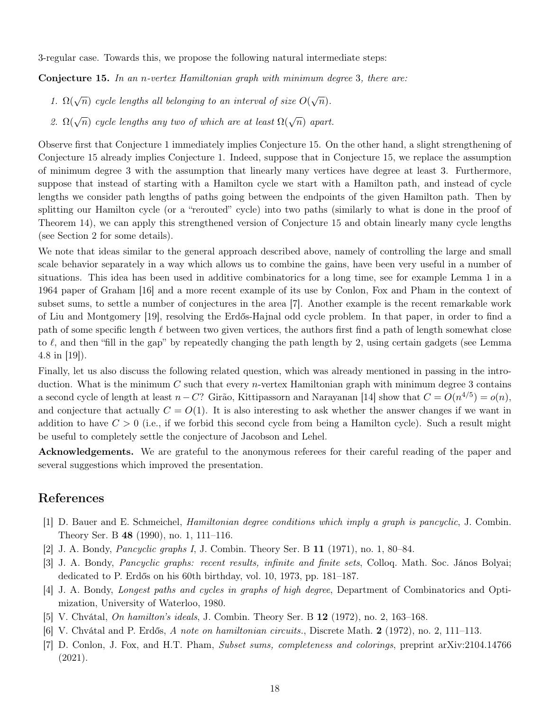<span id="page-17-6"></span>3-regular case. Towards this, we propose the following natural intermediate steps:

**Conjecture 15.** In an n-vertex Hamiltonian graph with minimum degree 3, there are:

- 1.  $\Omega(\sqrt{n})$  cycle lengths all belonging to an interval of size  $O(\sqrt{n})$ .
- 2.  $\Omega(\sqrt{n})$  cycle lengths any two of which are at least  $\Omega(\sqrt{n})$  apart.

Observe first that Conjecture [1](#page-1-0) immediately implies Conjecture [15.](#page-17-6) On the other hand, a slight strengthening of Conjecture [15](#page-17-6) already implies Conjecture [1.](#page-1-0) Indeed, suppose that in Conjecture [15,](#page-17-6) we replace the assumption of minimum degree 3 with the assumption that linearly many vertices have degree at least 3. Furthermore, suppose that instead of starting with a Hamilton cycle we start with a Hamilton path, and instead of cycle lengths we consider path lengths of paths going between the endpoints of the given Hamilton path. Then by splitting our Hamilton cycle (or a "rerouted" cycle) into two paths (similarly to what is done in the proof of Theorem [14\)](#page-15-0), we can apply this strengthened version of Conjecture [15](#page-17-6) and obtain linearly many cycle lengths (see Section [2](#page-1-2) for some details).

We note that ideas similar to the general approach described above, namely of controlling the large and small scale behavior separately in a way which allows us to combine the gains, have been very useful in a number of situations. This idea has been used in additive combinatorics for a long time, see for example Lemma 1 in a 1964 paper of Graham [\[16\]](#page-18-19) and a more recent example of its use by Conlon, Fox and Pham in the context of subset sums, to settle a number of conjectures in the area [\[7\]](#page-17-7). Another example is the recent remarkable work of Liu and Montgomery [\[19\]](#page-18-20), resolving the Erdős-Hajnal odd cycle problem. In that paper, in order to find a path of some specific length  $\ell$  between two given vertices, the authors first find a path of length somewhat close to  $\ell$ , and then "fill in the gap" by repeatedly changing the path length by 2, using certain gadgets (see Lemma 4.8 in [\[19\]](#page-18-20)).

Finally, let us also discuss the following related question, which was already mentioned in passing in the introduction. What is the minimum C such that every *n*-vertex Hamiltonian graph with minimum degree 3 contains a second cycle of length at least  $n - C$ ? Girão, Kittipassorn and Narayanan [\[14\]](#page-18-11) show that  $C = O(n^{4/5}) = o(n)$ , and conjecture that actually  $C = O(1)$ . It is also interesting to ask whether the answer changes if we want in addition to have  $C > 0$  (i.e., if we forbid this second cycle from being a Hamilton cycle). Such a result might be useful to completely settle the conjecture of Jacobson and Lehel.

Acknowledgements. We are grateful to the anonymous referees for their careful reading of the paper and several suggestions which improved the presentation.

# References

- <span id="page-17-5"></span>[1] D. Bauer and E. Schmeichel, Hamiltonian degree conditions which imply a graph is pancyclic, J. Combin. Theory Ser. B 48 (1990), no. 1, 111–116.
- <span id="page-17-4"></span>[2] J. A. Bondy, Pancyclic graphs I, J. Combin. Theory Ser. B 11 (1971), no. 1, 80–84.
- <span id="page-17-3"></span>[3] J. A. Bondy, Pancyclic graphs: recent results, infinite and finite sets, Colloq. Math. Soc. János Bolyai; dedicated to P. Erdős on his 60th birthday, vol. 10, 1973, pp. 181–187.
- <span id="page-17-0"></span>[4] J. A. Bondy, Longest paths and cycles in graphs of high degree, Department of Combinatorics and Optimization, University of Waterloo, 1980.
- <span id="page-17-1"></span>[5] V. Chvátal, On hamilton's ideals, J. Combin. Theory Ser. B 12 (1972), no. 2, 163–168.
- <span id="page-17-2"></span>[6] V. Chvátal and P. Erdős, A note on hamiltonian circuits., Discrete Math. 2 (1972), no. 2, 111–113.
- <span id="page-17-7"></span>[7] D. Conlon, J. Fox, and H.T. Pham, Subset sums, completeness and colorings, preprint arXiv:2104.14766 (2021).